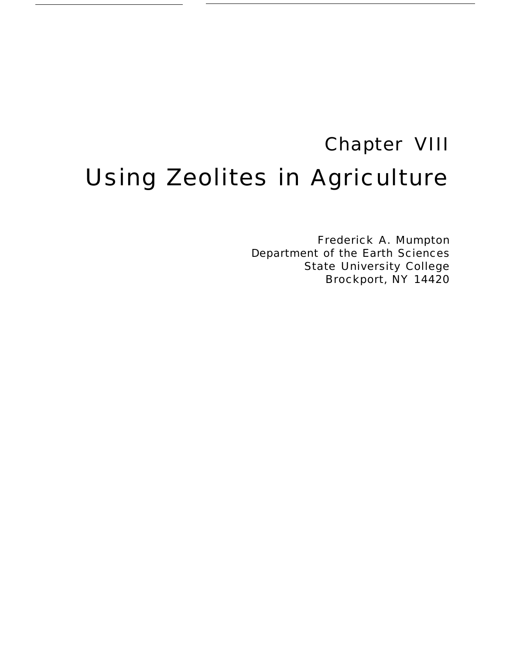# Chapter VIII Using Zeolites in Agriculture

Frederick A. Mumpton Department of the Earth Sciences State University College Brockport, NY 14420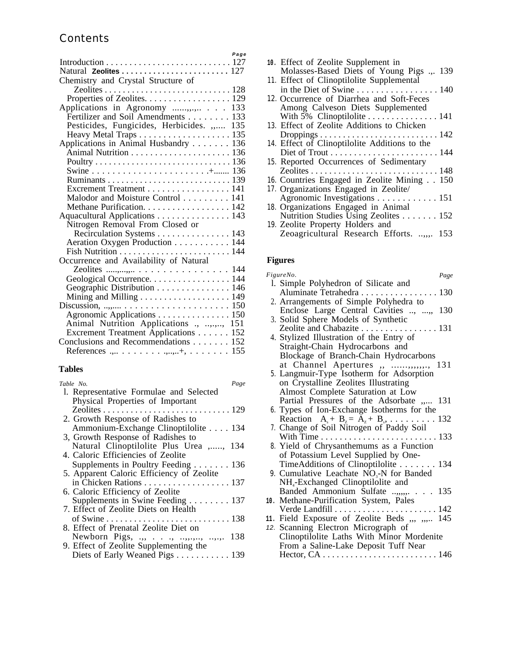# **Contents**

|                                           | Page |
|-------------------------------------------|------|
|                                           |      |
| Natural <b>Zeolites</b> 127               |      |
| Chemistry and Crystal Structure of        |      |
|                                           |      |
| Properties of Zeolites. 129               |      |
| Applications in Agronomy , 133            |      |
| Fertilizer and Soil Amendments 133        |      |
| Pesticides, Fungicides, Herbicides. " 135 |      |
| Heavy Metal Traps 135                     |      |
| Applications in Animal Husbandry 136      |      |
|                                           |      |
|                                           |      |
|                                           |      |
|                                           |      |
| Excrement Treatment 141                   |      |
| Malodor and Moisture Control 141          |      |
| Methane Purification. 142                 |      |
| Aquacultural Applications 143             |      |
| Nitrogen Removal From Closed or           |      |
| Recirculation Systems 143                 |      |
| Aeration Oxygen Production 144            |      |
|                                           |      |
| Occurrence and Availability of Natural    |      |
|                                           |      |
| Geological Occurrence. 144                |      |
| Geographic Distribution 146               |      |
|                                           |      |
|                                           |      |
| Agronomic Applications 150                |      |
| Animal Nutrition Applications ., ,.,, 151 |      |
| Excrement Treatment Applications 152      |      |
| Conclusions and Recommendations 152       |      |
|                                           |      |

# **Tables**

| Table No.                                 | Page |
|-------------------------------------------|------|
| l. Representative Formulae and Selected   |      |
| Physical Properties of Important          |      |
|                                           |      |
| 2. Growth Response of Radishes to         |      |
| Ammonium-Exchange Clinoptilolite 134      |      |
| 3, Growth Response of Radishes to         |      |
| Natural Clinoptilolite Plus Urea ,, 134   |      |
| 4. Caloric Efficiencies of Zeolite        |      |
| Supplements in Poultry Feeding 136        |      |
| 5. Apparent Caloric Efficiency of Zeolite |      |
| in Chicken Rations 137                    |      |
| 6. Caloric Efficiency of Zeolite          |      |
| Supplements in Swine Feeding 137          |      |
| 7. Effect of Zeolite Diets on Health      |      |
|                                           |      |
| 8. Effect of Prenatal Zeolite Diet on     |      |
| Newborn Pigs, ,, ,                        | 138  |
| 9. Effect of Zeolite Supplementing the    |      |
| Diets of Early Weaned Pigs 139            |      |
|                                           |      |

| 10. Effect of Zeolite Supplement in                      |
|----------------------------------------------------------|
| Molasses-Based Diets of Young Pigs .,. 139               |
| 11. Effect of Clinoptilolite Supplemental                |
| in the Diet of Swine 140                                 |
| 12. Occurrence of Diarrhea and Soft-Feces                |
| Among Calveson Diets Supplemented                        |
|                                                          |
| 13. Effect of Zeolite Additions to Chicken               |
|                                                          |
| 14. Effect of Clinoptilolite Additions to the            |
|                                                          |
| 15. Reported Occurrences of Sedimentary                  |
|                                                          |
| 16. Countries Engaged in Zeolite Mining 150              |
| 17. Organizations Engaged in Zeolite/                    |
| Agronomic Investigations 151                             |
| 18. Organizations Engaged in Animal                      |
| Nutrition Studies Using Zeolites $\dots \dots \dots 152$ |
| 19. Zeolite Property Holders and                         |
| Zeoagricultural Research Efforts. ,,. 153                |
|                                                          |

# **Figures**

| FigureNo.                                             | Page |
|-------------------------------------------------------|------|
| l. Simple Polyhedron of Silicate and                  |      |
| Aluminate Tetrahedra 130                              |      |
| 2. Arrangements of Simple Polyhedra to                |      |
| Enclose Large Central Cavities , ,                    | 130  |
| 3. Solid Sphere Models of Synthetic                   |      |
| Zeolite and Chabazite 131                             |      |
| 4. Stylized Illustration of the Entry of              |      |
| Straight-Chain Hydrocarbons and                       |      |
| Blockage of Branch-Chain Hydrocarbons                 |      |
| at Channel Apertures ,, ,,,,,,,,, 131                 |      |
| 5. Langmuir-Type Isotherm for Adsorption              |      |
| on Crystalline Zeolites Illustrating                  |      |
| Almost Complete Saturation at Low                     |      |
| Partial Pressures of the Adsorbate " 131              |      |
| 6. Types of Ion-Exchange Isotherms for the            |      |
| Reaction $A_s + B_z = A_z + B_s, \ldots, \ldots, 132$ |      |
| 7. Change of Soil Nitrogen of Paddy Soil              |      |
|                                                       |      |
| 8. Yield of Chrysanthemums as a Function              |      |
| of Potassium Level Supplied by One-                   |      |
| TimeAdditions of Clinoptilolite 134                   |      |
| 9. Cumulative Leachate NO <sub>3</sub> -N for Banded  |      |
| NH <sub>4</sub> -Exchanged Clinoptilolite and         |      |
| Banded Ammonium Sulfate ,,,,, 135                     |      |
| 10. Methane-Purification System, Pales                |      |
|                                                       |      |
| 11. Field Exposure of Zeolite Beds ,,, ,,, 145        |      |
| 12. Scanning Electron Micrograph of                   |      |
| Clinoptilolite Laths With Minor Mordenite             |      |
| From a Saline-Lake Deposit Tuff Near                  |      |
|                                                       |      |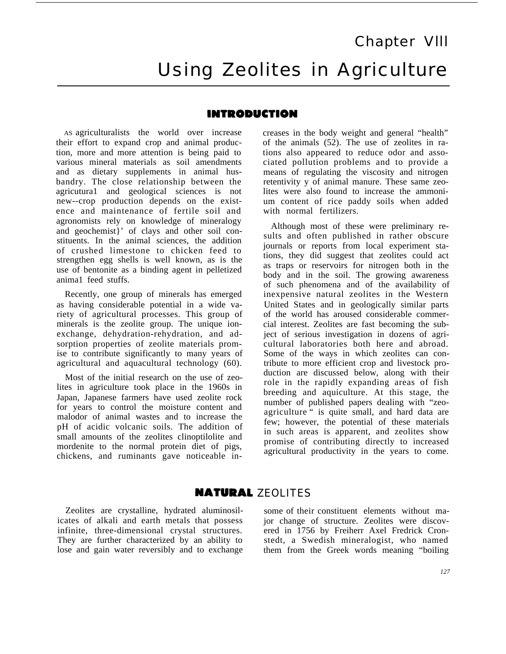# Chapter Vlll Using Zeolites in Agriculture

# **INTRODUCTION**

AS agriculturalists the world over increase their effort to expand crop and animal production, more and more attention is being paid to various mineral materials as soil amendments and as dietary supplements in animal husbandry. The close relationship between the agricutura1 and geological sciences is not new--crop production depends on the existence and maintenance of fertile soil and agronomists rely on knowledge of mineralogy and geochemist}' of clays and other soil constituents. In the animal sciences, the addition of crushed limestone to chicken feed to strengthen egg shells is well known, as is the use of bentonite as a binding agent in pelletized anima1 feed stuffs.

Recently, one group of minerals has emerged as having considerable potential in a wide variety of agricultural processes. This group of minerals is the zeolite group. The unique ionexchange, dehydration-rehydration, and adsorption properties of zeolite materials promise to contribute significantly to many years of agricultural and aquacultural technology (60).

Most of the initial research on the use of zeolites in agriculture took place in the 1960s in Japan, Japanese farmers have used zeolite rock for years to control the moisture content and malodor of animal wastes and to increase the pH of acidic volcanic soils. The addition of small amounts of the zeolites clinoptilolite and mordenite to the normal protein diet of pigs, chickens, and ruminants gave noticeable in-

creases in the body weight and general "health" of the animals (52). The use of zeolites in rations also appeared to reduce odor and associated pollution problems and to provide a means of regulating the viscosity and nitrogen retentivity y of animal manure. These same zeolites were also found to increase the ammonium content of rice paddy soils when added with normal fertilizers.

Although most of these were preliminary results and often published in rather obscure journals or reports from local experiment stations, they did suggest that zeolites could act as traps or reservoirs for nitrogen both in the body and in the soil. The growing awareness of such phenomena and of the availability of inexpensive natural zeolites in the Western United States and in geologically similar parts of the world has aroused considerable commercial interest. Zeolites are fast becoming the subject of serious investigation in dozens of agricultural laboratories both here and abroad. Some of the ways in which zeolites can contribute to more efficient crop and livestock production are discussed below, along with their role in the rapidly expanding areas of fish breeding and aquiculture. At this stage, the number of published papers dealing with "zeoagriculture " is quite small, and hard data are few; however, the potential of these materials in such areas is apparent, and zeolites show promise of contributing directly to increased agricultural productivity in the years to come.

# **NATURAL ZEOLITES**

Zeolites are crystalline, hydrated aluminosilicates of alkali and earth metals that possess infinite, three-dimensional crystal structures. They are further characterized by an ability to lose and gain water reversibly and to exchange some of their constituent elements without major change of structure. Zeolites were discovered in 1756 by Freiherr Axel Fredrick Cronstedt, a Swedish mineralogist, who named them from the Greek words meaning "boiling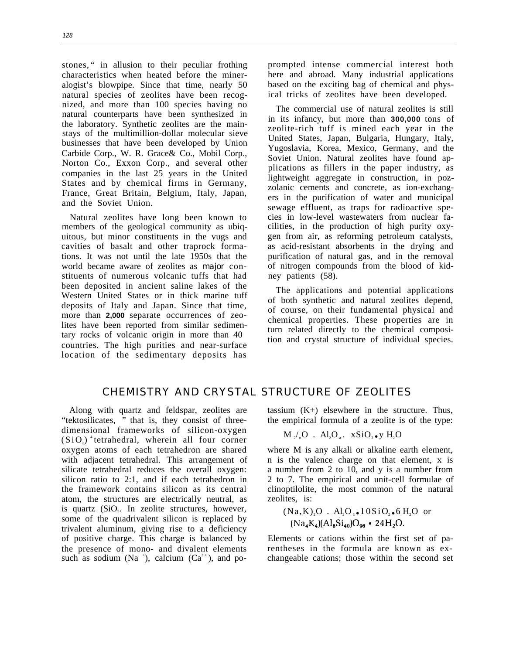stones, " in allusion to their peculiar frothing characteristics when heated before the mineralogist's blowpipe. Since that time, nearly 50 natural species of zeolites have been recognized, and more than 100 species having no natural counterparts have been synthesized in the laboratory. Synthetic zeolites are the mainstays of the multimillion-dollar molecular sieve businesses that have been developed by Union Carbide Corp., W. R. Grace& Co., Mobil Corp., Norton Co., Exxon Corp., and several other companies in the last 25 years in the United States and by chemical firms in Germany, France, Great Britain, Belgium, Italy, Japan, and the Soviet Union.

Natural zeolites have long been known to members of the geological community as ubiquitous, but minor constituents in the vugs and cavities of basalt and other traprock formations. It was not until the late 1950s that the world became aware of zeolites as *major* constituents of numerous volcanic tuffs that had been deposited in ancient saline lakes of the Western United States or in thick marine tuff deposits of Italy and Japan. Since that time, more than **2,000** separate occurrences of zeolites have been reported from similar sedimentary rocks of volcanic origin in more than 40 countries. The high purities and near-surface location of the sedimentary deposits has

prompted intense commercial interest both here and abroad. Many industrial applications based on the exciting bag of chemical and physical tricks of zeolites have been developed.

The commercial use of natural zeolites is still in its infancy, but more than **300,000** tons of zeolite-rich tuff is mined each year in the United States, Japan, Bulgaria, Hungary, Italy, Yugoslavia, Korea, Mexico, Germany, and the Soviet Union. Natural zeolites have found applications as fillers in the paper industry, as lightweight aggregate in construction, in pozzolanic cements and concrete, as ion-exchangers in the purification of water and municipal sewage effluent, as traps for radioactive species in low-level wastewaters from nuclear facilities, in the production of high purity oxygen from air, as reforming petroleum catalysts, as acid-resistant absorbents in the drying and purification of natural gas, and in the removal of nitrogen compounds from the blood of kidney patients (58).

The applications and potential applications of both synthetic and natural zeolites depend, of course, on their fundamental physical and chemical properties. These properties are in turn related directly to the chemical composition and crystal structure of individual species.

# CHEMISTRY AND CRYSTAL STRUCTURE OF ZEOLITES

"tektosilicates, " that is, they consist of three- the empirical formula of a zeolite is of the type: dimensional frameworks of silicon-oxygen  $(SiO<sub>4</sub>)$ <sup>4</sup> tetrahedral, wherein all four corner M<sub>2</sub> oxygen atoms of each tetrahedron are shared where M is any alkali or alkaline earth element, with adjacent tetrahedral. This arrangement of  $\blacksquare$  n is the valence charge on that element, x is silicate tetrahedral reduces the overall oxygen: a number from 2 to 10, and y is a number from silicon ratio to 2:1, and if each tetrahedron in 2 to 7. The empirical and unit-cell formulae of the framework contains silicon as its central clinoptilolite, the most common of the natural atom, the structures are electrically neutral, as zeolites, is: is quartz (SiO<sub>2</sub>. In zeolite structures, however, some of the quadrivalent silicon is replaced by trivalent aluminum, giving rise to a deficiency of positive charge. This charge is balanced by Elements or cations within the first set of pathe presence of mono- and divalent elements rentheses in the formula are known as exsuch as sodium (Na<sup>+</sup>), calcium ( $Ca^{2+}$ ), and po-

Along with quartz and feldspar, zeolites are tassium (K+) elsewhere in the structure. Thus,

$$
M_{2}/_{n}O \ . \ Al_{2}O_{a} . \ xSiO_{2} \bullet y H_{2}O
$$

 $(Na, K), O$ . Al,  $O_3$ . 10SiO<sub>2</sub>. 6 H<sub>2</sub>O or  $(Na_4K_4)(Al_8Si_{40})O_{96}$  • 24H<sub>2</sub>O.

changeable cations; those within the second set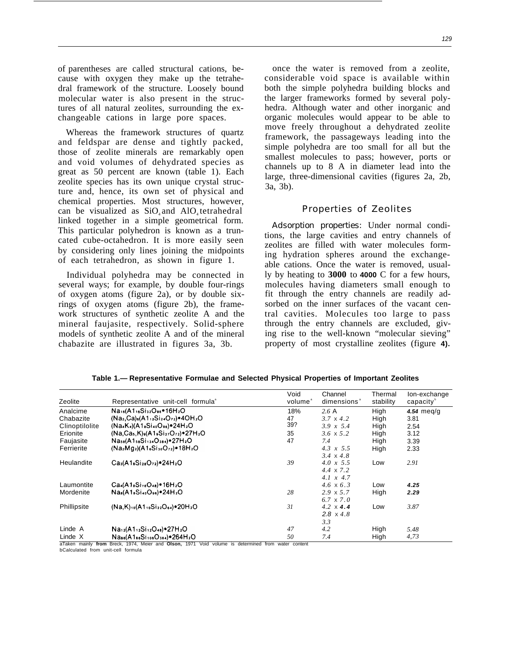of parentheses are called structural cations, because with oxygen they make up the tetrahedral framework of the structure. Loosely bound molecular water is also present in the structures of all natural zeolites, surrounding the exchangeable cations in large pore spaces.

Whereas the framework structures of quartz and feldspar are dense and tightly packed, those of zeolite minerals are remarkably open and void volumes of dehydrated species as great as 50 percent are known (table 1). Each zeolite species has its own unique crystal structure and, hence, its own set of physical and chemical properties. Most structures, however, can be visualized as  $SiO_4$  and  $AlO_4$  tetrahedral linked together in a simple geometrical form. This particular polyhedron is known as a truncated cube-octahedron. It is more easily seen by considering only lines joining the midpoints of each tetrahedron, as shown in figure 1.

Individual polyhedra may be connected in several ways; for example, by double four-rings of oxygen atoms (figure 2a), or by double sixrings of oxygen atoms (figure 2b), the framework structures of synthetic zeolite A and the mineral faujasite, respectively. Solid-sphere models of synthetic zeolite A and of the mineral chabazite are illustrated in figures 3a, 3b.

once the water is removed from a zeolite, considerable void space is available within both the simple polyhedra building blocks and the larger frameworks formed by several polyhedra. Although water and other inorganic and organic molecules would appear to be able to move freely throughout a dehydrated zeolite framework, the passageways leading into the simple polyhedra are too small for all but the smallest molecules to pass; however, ports or channels up to 8 A in diameter lead into the large, three-dimensional cavities (figures 2a, 2b, 3a, 3b).

#### Properties of Zeolites

*Adsorption properties:* Under normal conditions, the large cavities and entry channels of zeolites are filled with water molecules forming hydration spheres around the exchangeable cations. Once the water is removed, usually by heating to **3000** to **4000** C for a few hours, molecules having diameters small enough to fit through the entry channels are readily adsorbed on the inner surfaces of the vacant central cavities. Molecules too large to pass through the entry channels are excluded, giving rise to the well-known "molecular sieving" property of most crystalline zeolites (figure **4).**

|                |                                                                 | Void                | Channel                 | Thermal   | lon-exchange          |
|----------------|-----------------------------------------------------------------|---------------------|-------------------------|-----------|-----------------------|
| Zeolite        | Representative unit-cell formula <sup>®</sup>                   | volume <sup>®</sup> | dimensions <sup>®</sup> | stability | capacity <sup>b</sup> |
| Analcime       | Na16(A116Si32O96.16H2O                                          | 18%                 | 2.6A                    | High      | 4.54 meg/g            |
| Chabazite      | $(Na2, Ca)6(A112S124O72)•4OH2O$                                 | 47                  | $3.7 \times 4.2$        | High      | 3.81                  |
| Clinoptilolite | $(Na_4K_4)(A1_8Si_{40}O_{96})$ $24H_2O$                         | 39?                 | 3.9 $x$ 5.4             | High      | 2.54                  |
| Erionite       | $(Na, Ca5, K)9(A19Si27O72)•27H2O$                               | 35                  | $3.6 \times 5.2$        | High      | 3.12                  |
| Faujasite      | Nass(A1ssSi134O384).27H2O                                       | 47                  | 7.4                     | High      | 3.39                  |
| Ferrierite     | $(Na2Ma2)(A16Si30O72)•18H2O$                                    |                     | 4.3 $x$ 5.5             | High      | 2.33                  |
|                |                                                                 |                     | $3.4 \times 4.8$        |           |                       |
| Heulandite     | $Ca3(A18S128O72)•24H2O$                                         | 39                  | $4.0 \times 5.5$        | Low       | 2.91                  |
|                |                                                                 |                     | $4.4 \times 7.2$        |           |                       |
|                |                                                                 |                     | $4.1 \times 4.7$        |           |                       |
| Laumontite     | $Ca_4(A1_8Si_{16}O_{48})$ = 16H <sub>2</sub> O                  |                     | 4.6 x 6.3               | Low       | 4.25                  |
| Mordenite      | $Na_8(A1_8Si_{40}O_{96})$ . 24H <sub>2</sub> O                  | 28                  | $2.9 \times 5.7$        | High      | 2.29                  |
|                |                                                                 |                     | $6.7 \times 7.0$        |           |                       |
| Phillipsite    | $(Na,K)_{10}(A1_{10}Si_{22}O_{64})$ * 20H <sub>2</sub> O        | 31                  | $4.2 \times 4.4$        | Low       | 3.87                  |
|                |                                                                 |                     | $2.8 \times 4.8$        |           |                       |
|                |                                                                 |                     | 3.3                     |           |                       |
| Linde A        | $Na_{12}(A1_{12}Si_{12}O_{48})$ = 27H <sub>2</sub> O            | 47                  | 4.2                     | High      | 5.48                  |
| Linde X        | $N_{\text{diss}}(A1_{86}Si_{108}O_{384})$ = 264H <sub>2</sub> O | 50                  | 7.4                     | High      | 4,73                  |

**Table 1.— Representative Formulae and Selected Physical Properties of Important Zeolites**

aTaken mainly **from** Breck, 1974, Meier and **Olson,** 1971 Void volume is determined from water content bCalculated from unit-cell formula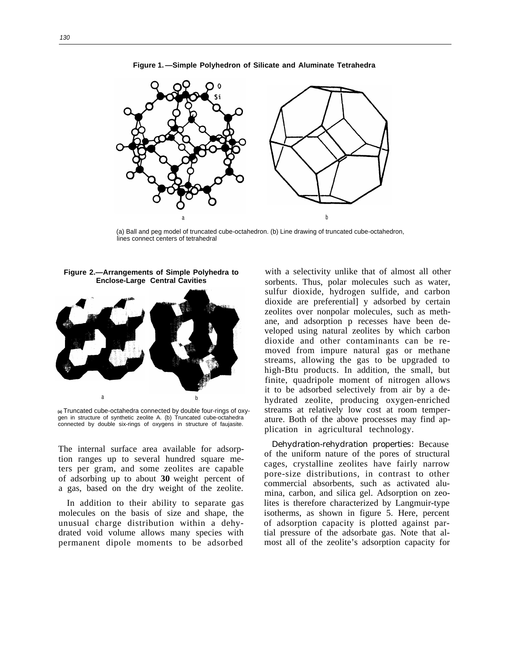

**Figure 1. —Simple Polyhedron of Silicate and Aluminate Tetrahedra**

(a) Ball and peg model of truncated cube-octahedron. (b) Line drawing of truncated cube-octahedron, lines connect centers of tetrahedral

**Figure 2.—Arrangements of Simple Polyhedra to Enclose-Large Central Cavities**



**(a)** Truncated cube-octahedra connected by double four-rings of oxygen in structure of synthetic zeolite A. (b) Truncated cube-octahedra connected by double six-rings of oxygens in structure of faujasite.

The internal surface area available for adsorption ranges up to several hundred square meters per gram, and some zeolites are capable of adsorbing up to about **30** weight percent of a gas, based on the dry weight of the zeolite.

In addition to their ability to separate gas molecules on the basis of size and shape, the unusual charge distribution within a dehydrated void volume allows many species with permanent dipole moments to be adsorbed

with a selectivity unlike that of almost all other sorbents. Thus, polar molecules such as water, sulfur dioxide, hydrogen sulfide, and carbon dioxide are preferential] y adsorbed by certain zeolites over nonpolar molecules, such as methane, and adsorption p recesses have been developed using natural zeolites by which carbon dioxide and other contaminants can be removed from impure natural gas or methane streams, allowing the gas to be upgraded to high-Btu products. In addition, the small, but finite, quadripole moment of nitrogen allows it to be adsorbed selectively from air by a dehydrated zeolite, producing oxygen-enriched streams at relatively low cost at room temperature. Both of the above processes may find application in agricultural technology.

*Dehydration-rehydration properties:* Because of the uniform nature of the pores of structural cages, crystalline zeolites have fairly narrow pore-size distributions, in contrast to other commercial absorbents, such as activated alumina, carbon, and silica gel. Adsorption on zeolites is therefore characterized by Langmuir-type isotherms, as shown in figure 5. Here, percent of adsorption capacity is plotted against partial pressure of the adsorbate gas. Note that almost all of the zeolite's adsorption capacity for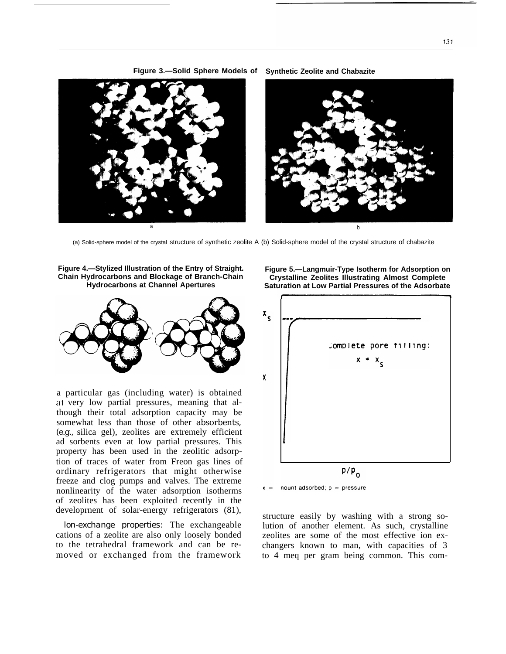

**Figure 3.—Solid Sphere Models of Synthetic Zeolite and Chabazite**

(a) Solid-sphere model of the crystal structure of synthetic zeolite A (b) Solid-sphere model of the crystal structure of chabazite





a particular gas (including water) is obtained at very low partial pressures, meaning that although their total adsorption capacity may be somewhat less than those of other absorbents, (e.g., silica gel), zeolites are extremely efficient ad sorbents even at low partial pressures. This property has been used in the zeolitic adsorption of traces of water from Freon gas lines of ordinary refrigerators that might otherwise freeze and clog pumps and valves. The extreme nonlinearity of the water adsorption isotherms of zeolites has been exploited recently in the developrnent of solar-energy refrigerators (81),

*lon-exchange properties:* The exchangeable cations of a zeolite are also only loosely bonded to the tetrahedral framework and can be removed or exchanged from the framework

**Figure 5.—Langmuir-Type Isotherm for Adsorption on Crystalline Zeolites Illustrating Almost Complete Saturation at Low Partial Pressures of the Adsorbate**





structure easily by washing with a strong solution of another element. As such, crystalline zeolites are some of the most effective ion exchangers known to man, with capacities of 3 to 4 meq per gram being common. This com-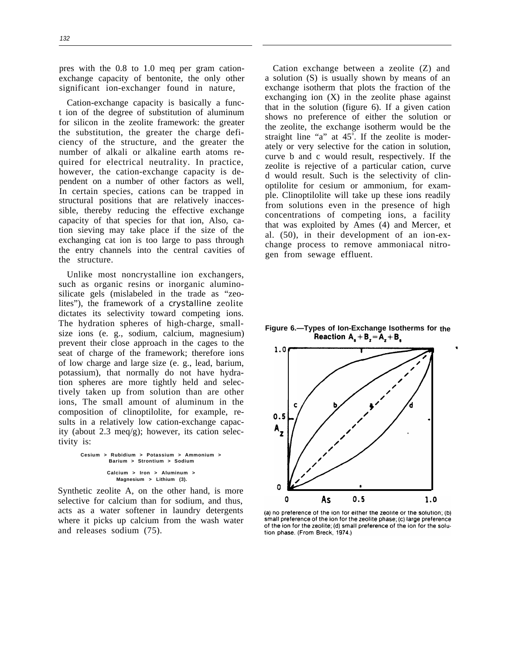pres with the 0.8 to 1.0 meq per gram cationexchange capacity of bentonite, the only other significant ion-exchanger found in nature,

Cation-exchange capacity is basically a funct ion of the degree of substitution of aluminum for silicon in the zeolite framework: the greater the substitution, the greater the charge deficiency of the structure, and the greater the number of alkali or alkaline earth atoms required for electrical neutrality. In practice, however, the cation-exchange capacity is dependent on a number of other factors as well, In certain species, cations can be trapped in structural positions that are relatively inaccessible, thereby reducing the effective exchange capacity of that species for that ion, Also, cation sieving may take place if the size of the exchanging cat ion is too large to pass through the entry channels into the central cavities of the structure.

Unlike most noncrystalline ion exchangers, such as organic resins or inorganic aluminosilicate gels (mislabeled in the trade as "zeolites"), the framework of a *crystalline* zeolite dictates its selectivity toward competing ions. The hydration spheres of high-charge, smallsize ions (e. g., sodium, calcium, magnesium) prevent their close approach in the cages to the seat of charge of the framework; therefore ions of low charge and large size (e. g., lead, barium, potassium), that normally do not have hydration spheres are more tightly held and selectively taken up from solution than are other ions, The small amount of aluminum in the composition of clinoptilolite, for example, results in a relatively low cation-exchange capacity (about 2.3 meq/g); however, its cation selectivity is:

**Cesium > Rubidium > Potassium > Ammonium > Barium > Strontium > Sodium Calcium > Iron > Aluminum > Magnesium > Lithium (3).**

Synthetic zeolite A, on the other hand, is more selective for calcium than for sodium, and thus, acts as a water softener in laundry detergents where it picks up calcium from the wash water and releases sodium (75).

Cation exchange between a zeolite (Z) and a solution (S) is usually shown by means of an exchange isotherm that plots the fraction of the exchanging ion  $(X)$  in the zeolite phase against that in the solution (figure 6). If a given cation shows no preference of either the solution or the zeolite, the exchange isotherm would be the straight line "a" at  $45^\circ$ . If the zeolite is moderately or very selective for the cation in solution, curve b and c would result, respectively. If the zeolite is rejective of a particular cation, curve d would result. Such is the selectivity of clinoptilolite for cesium or ammonium, for example. Clinoptilolite will take up these ions readily from solutions even in the presence of high concentrations of competing ions, a facility that was exploited by Ames (4) and Mercer, et al. (50), in their development of an ion-exchange process to remove ammoniacal nitrogen from sewage effluent.

**Figure 6.—Types of Ion-Exchange Isotherms for the**<br>**Reaction A<sub>s</sub> + B<sub>z</sub> = A<sub>z</sub> + B<sub>s</sub>** 



(a) no preference of the ion for either the zeolite or the solution; (b) small preference of the ion for the zeolite phase; (c) large preference of the ion for the zeolite; (d) small preference of the ion for the solution phase. (From Breck, 1974.)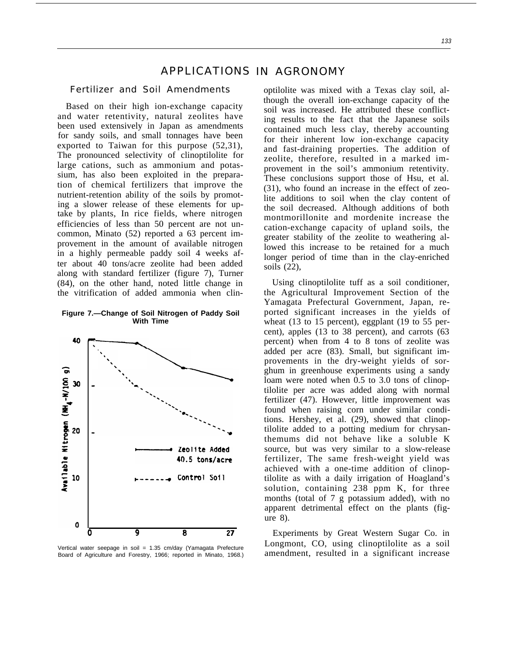# APPLICATIONS IN AGRONOMY

#### Fertilizer and Soil Amendments

Based on their high ion-exchange capacity and water retentivity, natural zeolites have been used extensively in Japan as amendments for sandy soils, and small tonnages have been exported to Taiwan for this purpose (52,31), The pronounced selectivity of clinoptilolite for large cations, such as ammonium and potassium, has also been exploited in the preparation of chemical fertilizers that improve the nutrient-retention ability of the soils by promoting a slower release of these elements for uptake by plants, In rice fields, where nitrogen efficiencies of less than 50 percent are not uncommon, Minato (52) reported a 63 percent improvement in the amount of available nitrogen in a highly permeable paddy soil 4 weeks after about 40 tons/acre zeolite had been added along with standard fertilizer (figure 7), Turner (84), on the other hand, noted little change in the vitrification of added ammonia when clin-

#### **Figure 7.—Change of Soil Nitrogen of Paddy Soil With Time**



Vertical water seepage in soil = 1.35 cm/day (Yamagata Prefecture Board of Agriculture and Forestry, 1966; reported in Minato, 1968.)

optilolite was mixed with a Texas clay soil, although the overall ion-exchange capacity of the soil was increased. He attributed these conflicting results to the fact that the Japanese soils contained much less clay, thereby accounting for their inherent low ion-exchange capacity and fast-draining properties. The addition of zeolite, therefore, resulted in a marked improvement in the soil's ammonium retentivity. These conclusions support those of Hsu, et al. (31), who found an increase in the effect of zeolite additions to soil when the clay content of the soil decreased. Although additions of both montmorillonite and mordenite increase the cation-exchange capacity of upland soils, the greater stability of the zeolite to weathering allowed this increase to be retained for a much longer period of time than in the clay-enriched soils (22),

Using clinoptilolite tuff as a soil conditioner, the Agricultural Improvement Section of the Yamagata Prefectural Government, Japan, reported significant increases in the yields of wheat (13 to 15 percent), eggplant (19 to 55 percent), apples (13 to 38 percent), and carrots (63 percent) when from 4 to 8 tons of zeolite was added per acre (83). Small, but significant improvements in the dry-weight yields of sorghum in greenhouse experiments using a sandy loam were noted when 0.5 to 3.0 tons of clinoptilolite per acre was added along with normal fertilizer (47). However, little improvement was found when raising corn under similar conditions. Hershey, et al. (29), showed that clinoptilolite added to a potting medium for chrysanthemums did not behave like a soluble K source, but was very similar to a slow-release fertilizer, The same fresh-weight yield was achieved with a one-time addition of clinoptilolite as with a daily irrigation of Hoagland's solution, containing 238 ppm K, for three months (total of 7 g potassium added), with no apparent detrimental effect on the plants (figure 8).

Experiments by Great Western Sugar Co. in Longmont, CO, using clinoptilolite as a soil amendment, resulted in a significant increase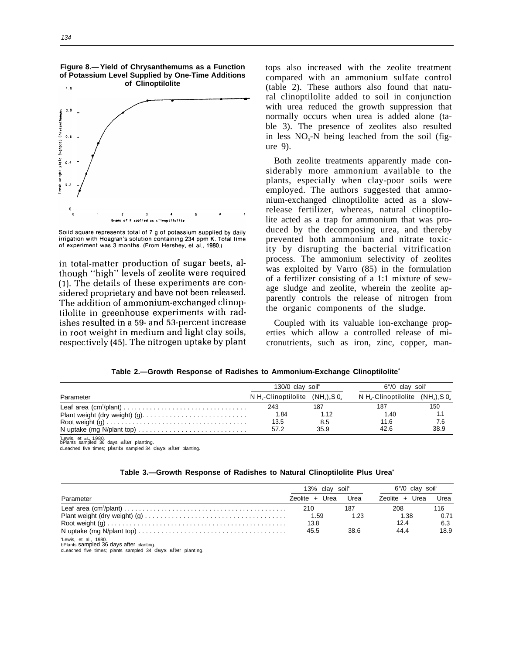

Solid square represents total of 7 g of potassium supplied by daily irrigation with Hoaglan's solution containing 234 ppm K. Total time of experiment was 3 months. (From Hershey, et al., 1980.)

in total-matter production of sugar beets, although "high" levels of zeolite were required (1). The details of these experiments are considered proprietary and have not been released. The addition of ammonium-exchanged clinoptilolite in greenhouse experiments with radishes resulted in a 59- and 53-percent increase in root weight in medium and light clay soils, respectively (45). The nitrogen uptake by plant tops also increased with the zeolite treatment compared with an ammonium sulfate control (table 2). These authors also found that natural clinoptilolite added to soil in conjunction with urea reduced the growth suppression that normally occurs when urea is added alone (table 3). The presence of zeolites also resulted in less  $NO<sub>3</sub>-N$  being leached from the soil (figure 9).

Both zeolite treatments apparently made considerably more ammonium available to the plants, especially when clay-poor soils were employed. The authors suggested that ammonium-exchanged clinoptilolite acted as a slowrelease fertilizer, whereas, natural clinoptilolite acted as a trap for ammonium that was produced by the decomposing urea, and thereby prevented both ammonium and nitrate toxicity by disrupting the bacterial vitrification process. The ammonium selectivity of zeolites was exploited by Varro (85) in the formulation of a fertilizer consisting of a 1:1 mixture of sewage sludge and zeolite, wherein the zeolite apparently controls the release of nitrogen from the organic components of the sludge.

Coupled with its valuable ion-exchange properties which allow a controlled release of micronutrients, such as iron, zinc, copper, man-

|  |  |  | Table 2.—Growth Response of Radishes to Ammonium-Exchange Clinoptilolite $^\circ$ |  |
|--|--|--|-----------------------------------------------------------------------------------|--|
|--|--|--|-----------------------------------------------------------------------------------|--|

|                                                                                          | 130/0 clay soil <sup>b</sup>                       |      | $6^{\circ}/0$ clay soil $^{\circ}$ |      |  |
|------------------------------------------------------------------------------------------|----------------------------------------------------|------|------------------------------------|------|--|
| Parameter                                                                                | $N$ H <sub>c</sub> -Clinoptilolite $(NH_1)$ , S 0. |      | $N Hc-Clinoptilolite (NHc), S_0$   |      |  |
|                                                                                          | 243                                                | 187  | 187                                | 150  |  |
| Plant weight (dry weight) (g). $\ldots \ldots \ldots \ldots \ldots \ldots \ldots \ldots$ | 1.84                                               | 1.12 | 1.40                               |      |  |
|                                                                                          | 13.5                                               | 8.5  | 11.6                               | 7.6  |  |
| N uptake (mg N/plant top) $\dots \dots \dots \dots \dots \dots \dots \dots \dots \dots$  | 57.2                                               | 35.9 | 42.6                               | 38.9 |  |
| $1000 + 1000$                                                                            |                                                    |      |                                    |      |  |

a Lewis, et **al.,** 1980. bPlants sampled 36 days after planting.

cLeached five times; plants sampled 34 days after planting.

#### **Table 3.—Growth Response of Radishes to Natural Clinoptilolite Plus Urea<sup>a</sup>**

|                                                                          | 13% clay soil <sup>®</sup> |      | $6^{\circ}/0$ clay soil |      |  |
|--------------------------------------------------------------------------|----------------------------|------|-------------------------|------|--|
| Parameter                                                                | Zeolite + Urea             | Urea | Zeolite + Urea          | Urea |  |
|                                                                          | 210                        | 187  | 208                     | 116  |  |
|                                                                          | 1.59                       | 1.23 | 1.38                    | 0.71 |  |
|                                                                          | 13.8                       |      | 12.4                    | 6.3  |  |
|                                                                          | 45.5                       | 38.6 | 44.4                    | 18.9 |  |
| $\mathbf{a}$ . $\mathbf{b}$ . $\mathbf{c}$ . $\mathbf{d}$ . $\mathbf{a}$ |                            |      |                         |      |  |

Lewis, et al., 1980. bPlants sampled 36 days after planting. cLeached five times; plants sampled 34 days after planting.

# **Figure 8.— Yield of Chrysanthemums as a Function of Potassium Level Supplied by One-Time Additions**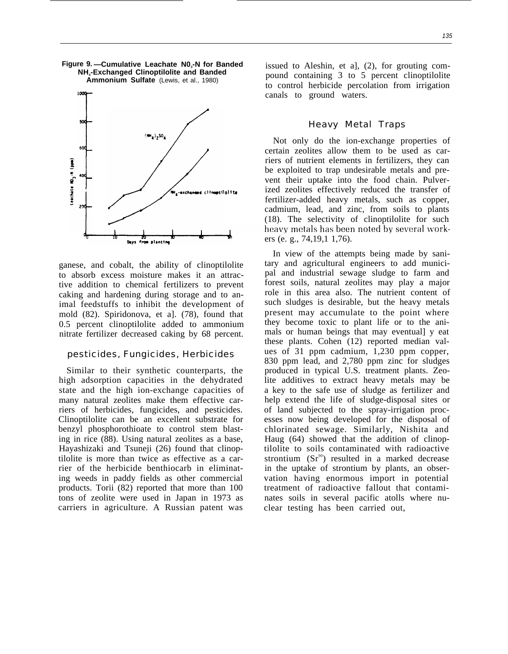**Figure 9. —Cumulative Leachate N0<sup>3</sup> -N for Banded NH<sup>4</sup> -Exchanged Clinoptilolite and Banded Ammonium Sulfate** (Lewis, et al., 1980)



ganese, and cobalt, the ability of clinoptilolite to absorb excess moisture makes it an attractive addition to chemical fertilizers to prevent caking and hardening during storage and to animal feedstuffs to inhibit the development of mold (82). Spiridonova, et a]. (78), found that 0.5 percent clinoptilolite added to ammonium nitrate fertilizer decreased caking by 68 percent.

#### pesticides, Fungicides, Herbicides

Similar to their synthetic counterparts, the high adsorption capacities in the dehydrated state and the high ion-exchange capacities of many natural zeolites make them effective carriers of herbicides, fungicides, and pesticides. Clinoptilolite can be an excellent substrate for benzyl phosphorothioate to control stem blasting in rice (88). Using natural zeolites as a base, Hayashizaki and Tsuneji (26) found that clinoptilolite is more than twice as effective as a carrier of the herbicide benthiocarb in eliminating weeds in paddy fields as other commercial products. Torii (82) reported that more than 100 tons of zeolite were used in Japan in 1973 as carriers in agriculture. A Russian patent was

issued to Aleshin, et a], (2), for grouting compound containing 3 to 5 percent clinoptilolite to control herbicide percolation from irrigation canals to ground waters.

#### Heavy Metal Traps

Not only do the ion-exchange properties of certain zeolites allow them to be used as carriers of nutrient elements in fertilizers, they can be exploited to trap undesirable metals and prevent their uptake into the food chain. Pulverized zeolites effectively reduced the transfer of fertilizer-added heavy metals, such as copper, cadmium, lead, and zinc, from soils to plants (18). The selectivity of clinoptilolite for such heavy metals has been noted by several workers (e. g., 74,19,1 1,76).

In view of the attempts being made by sanitary and agricultural engineers to add municipal and industrial sewage sludge to farm and forest soils, natural zeolites may play a major role in this area also. The nutrient content of such sludges is desirable, but the heavy metals present may accumulate to the point where they become toxic to plant life or to the animals or human beings that may eventual] y eat these plants. Cohen (12) reported median values of 31 ppm cadmium, 1,230 ppm copper, 830 ppm lead, and 2,780 ppm zinc for sludges produced in typical U.S. treatment plants. Zeolite additives to extract heavy metals may be a key to the safe use of sludge as fertilizer and help extend the life of sludge-disposal sites or of land subjected to the spray-irrigation processes now being developed for the disposal of chlorinated sewage. Similarly, Nishita and Haug (64) showed that the addition of clinoptilolite to soils contaminated with radioactive strontium  $(Sr^{\vartheta})$  resulted in a marked decrease in the uptake of strontium by plants, an observation having enormous import in potential treatment of radioactive fallout that contaminates soils in several pacific atolls where nuclear testing has been carried out,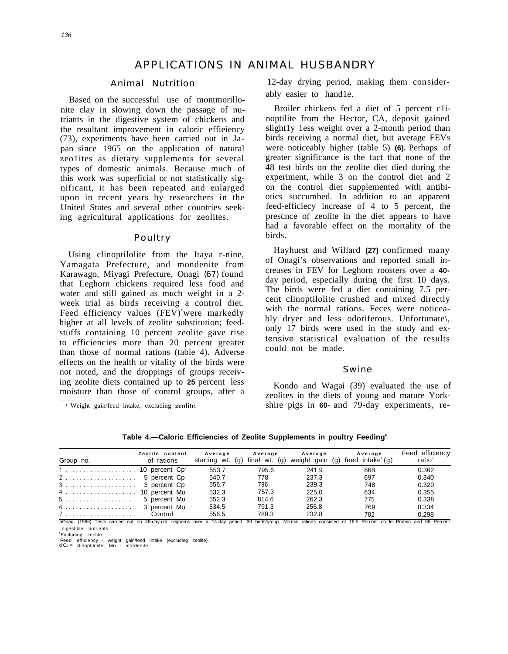# APPLICATIONS IN ANIMAL HUSBANDRY

#### Animal Nutrition

Based on the successful use of montmorillonite clay in slowing down the passage of nutriants in the digestive system of chickens and the resultant improvement in caloric effieiency (73), experiments have been carried out in Japan since 1965 on the application of natural zeo1ites as dietary supplements for several types of domestic animals. Because much of this work was superficial or not statistically significant, it has been repeated and enlarged upon in recent years by researchers in the United States and several other countries seeking agricultural applications for zeolites.

#### Poultry

Using clinoptilolite from the Itaya r-nine, Yamagata Prefecture, and mondenite from Karawago, Miyagi Prefecture, Onagi *(67)* found that Leghorn chickens required less food and water and still gained as much weight in a 2 week trial as birds receiving a control diet. Feed efficiency values  $(FEV)^{1}$ were markedly higher at all levels of zeolite substitution; feedstuffs containing 10 percent zeolite gave rise to efficiencies more than 20 percent greater than those of normal rations (table 4). Adverse effects on the health or vitality of the birds were not noted, and the droppings of groups receiving zeolite diets contained up to **25** percent less moisture than those of control groups, after a

1 Weight gain/feed intake, excluding zeolite,

12-day drying period, making them considerably easier to hand1e.

Broiler chickens fed a diet of 5 percent c1inoptilite from the Hector, CA, deposit gained slight1y 1ess weight over a 2-month period than birds receiving a normal diet, but average FEVS were noticeably higher (table 5) **(6).** Perhaps of greater significance is the fact that none of the 48 test birds on the zeolite diet died during the experiment, while 3 on the control diet and 2 on the control diet supplemented with antibiotics succumbed. In addition to an apparent feed-efficiecy increase of 4 to 5 percent, the prescnce of zeolite in the diet appears to have had a favorable effect on the mortality of the birds.

Hayhurst and Willard **(27)** confirmed many of Onagi's observations and reported small increases in FEV for Leghorn roosters over a **40** day period, especially during the first 10 days. The birds were fed a diet containing 7.5 percent clinoptilolite crushed and mixed directly with the normal rations. Feces were noticeably dryer and less odoriferous. Unfortunate\, only 17 birds were used in the study and extensive statistical evaluation of the results could not be made.

#### Swine

Kondo and Wagai (39) evaluated the use of zeolites in the diets of young and mature Yorkshire pigs in **60-** and 79-day experiments, re-

| Group no.                                                                                                                                                                         | Zeolite content<br>of rations | Average | Average | Average<br>starting wt. (g) final wt. (g) weight gain (g) feed intake $(q)$ | Average | Feed efficiency<br>ratio <sup>®</sup> |
|-----------------------------------------------------------------------------------------------------------------------------------------------------------------------------------|-------------------------------|---------|---------|-----------------------------------------------------------------------------|---------|---------------------------------------|
| $1 \ldots \ldots \ldots \ldots \ldots \ldots$ 10 percent $Cp^d$                                                                                                                   |                               | 553.7   | 795.6   | 241.9                                                                       | 668     | 0.362                                 |
| 2 5 percent Cp                                                                                                                                                                    |                               | 540.7   | 778     | 237.3                                                                       | 697     | 0.340                                 |
|                                                                                                                                                                                   |                               | 556.7   | 796     | 239.3                                                                       | 748     | 0.320                                 |
| 4  10 percent Mo                                                                                                                                                                  |                               | 532.3   | 757.3   | 225.0                                                                       | 634     | 0.355                                 |
| 5 5 percent Mo                                                                                                                                                                    |                               | 552.3   | 814.6   | 262.3                                                                       | 775     | 0.338                                 |
|                                                                                                                                                                                   |                               | 534.5   | 791.3   | 256.8                                                                       | 769     | 0.334                                 |
| 7  Control<br>-Oseal (4000) Tests control and as 40 dentificial inchesses areas a 44 dents assistant Microsoft and address consisted at 40 F. Descent conclusion and CO. Descenti |                               | 556.5   | 789.3   | 232.8                                                                       | 782     | 0.298                                 |

**Table 4.—Caloric Efficiencies of Zeolite Supplements in poultry Feeding<sup>a</sup>**

d out on 48-day-old Leghorns over a 14-day period, 30 birds/group. Normal rations consisted of 16.5 Percent crude Protein and 66 Per digestible nutrients

**Excluding** zeolite.

c Feed efficiency - weight gain/feed intake (excluding zeolite). d Cp = clinoptilolite, Mo - mordenite.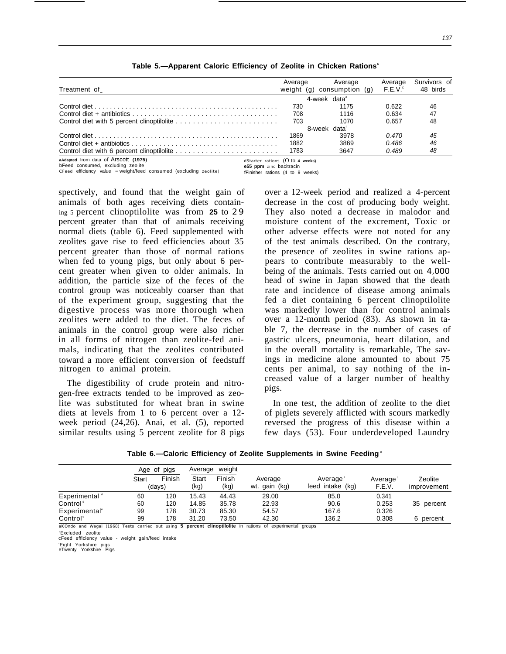| Treatment of                                                                                                           | Average | Average<br>weight (g) consumption (g) $F.E.V.^{\circ}$ | Average | Survivors of<br>48 birds |
|------------------------------------------------------------------------------------------------------------------------|---------|--------------------------------------------------------|---------|--------------------------|
|                                                                                                                        |         | 4-week data <sup>®</sup>                               |         |                          |
|                                                                                                                        | 730.    | 1175                                                   | 0.622   | 46                       |
|                                                                                                                        | 708     | 1116                                                   | 0.634   | 47                       |
|                                                                                                                        | 703     | 1070                                                   | 0.657   | 48                       |
|                                                                                                                        |         | 8-week data                                            |         |                          |
|                                                                                                                        | 1869    | 3978                                                   | 0.470   | 45                       |
|                                                                                                                        | 1882    | 3869                                                   | 0.486   | 46                       |
|                                                                                                                        | 1783    | 3647                                                   | 0.489   | 48                       |
| aAdapted from data of Arscott (1975)<br>dStarter rations $(0 to 4 weeks)$<br>- トランス オー・ファン アンファン オー・ファン しょうじん アー・ストリング |         |                                                        |         |                          |

**Table 5.—Apparent Caloric Efficiency of Zeolite in Chicken Rations<sup>a</sup>**

bFeed consumed, excluding zeolite<br>**CFeed** efficiency value = weight/feed consumed (excluding zeolite) fFinisher rations (4 to 9 weeks)  $C$ Feed efficiency value = weight/feed consumed (excluding zeolite)

spectively, and found that the weight gain of animals of both ages receiving diets containing 5 percent clinoptilolite was from **25** to *2 9* percent greater than that of animals receiving normal diets (table 6). Feed supplemented with zeolites gave rise to feed efficiencies about 35 percent greater than those of normal rations when fed to young pigs, but only about 6 percent greater when given to older animals. In addition, the particle size of the feces of the control group was noticeably coarser than that of the experiment group, suggesting that the digestive process was more thorough when zeolites were added to the diet. The feces of animals in the control group were also richer in all forms of nitrogen than zeolite-fed animals, indicating that the zeolites contributed toward a more efficient conversion of feedstuff nitrogen to animal protein.

The digestibility of crude protein and nitrogen-free extracts tended to be improved as zeolite was substituted for wheat bran in swine diets at levels from 1 to 6 percent over a 12 week period (24,26). Anai, et al. (5), reported similar results using 5 percent zeolite for 8 pigs

over a 12-week period and realized a 4-percent decrease in the cost of producing body weight. They also noted a decrease in malodor and moisture content of the excrement, Toxic or other adverse effects were not noted for any of the test animals described. On the contrary, the presence of zeolites in swine rations appears to contribute measurably to the wellbeing of the animals. Tests carried out on *4,000* head of swine in Japan showed that the death rate and incidence of disease among animals fed a diet containing 6 percent clinoptilolite was markedly lower than for control animals over a 12-month period (83). As shown in table 7, the decrease in the number of cases of gastric ulcers, pneumonia, heart dilation, and in the overall mortality is remarkable, The savings in medicine alone amounted to about 75 cents per animal, to say nothing of the increased value of a larger number of healthy pigs.

In one test, the addition of zeolite to the diet of piglets severely afflicted with scours markedly reversed the progress of this disease within a few days (53). Four underdeveloped Laundry

|                           | Age of pigs |                  | weight<br>Average |                |                          |                                          |                                |                        |
|---------------------------|-------------|------------------|-------------------|----------------|--------------------------|------------------------------------------|--------------------------------|------------------------|
|                           | Start       | Finish<br>(davs) | Start<br>(kg)     | Finish<br>(kg) | Average<br>wt. gain (kg) | Average <sup>®</sup><br>feed intake (kg) | Average <sup>®</sup><br>F.E.V. | Zeolite<br>improvement |
| Experimental "            | 60          | 120              | 15.43             | 44.43          | 29.00                    | 85.0                                     | 0.341                          |                        |
| Control <sup>d</sup>      | 60          | 120              | 14.85             | 35.78          | 22.93                    | 90.6                                     | 0.253                          | 35 percent             |
| Experimental <sup>®</sup> | 99          | 178              | 30.73             | 85.30          | 54.57                    | 167.6                                    | 0.326                          |                        |
| Control <sup>®</sup>      | 99          | 178              | 31.20             | 73.50          | 42.30                    | 136.2                                    | 0.308                          | 6 percent              |

aKOndo and Wagai (1968) Tests carried out using **5 percent clinoptilolite** in rations of experimental groups

**Excluded** zeolite cFeed efficiency value - weight gain/feed intake

'Eight Yorkshire pigs eTwenty Yorkshire Pigs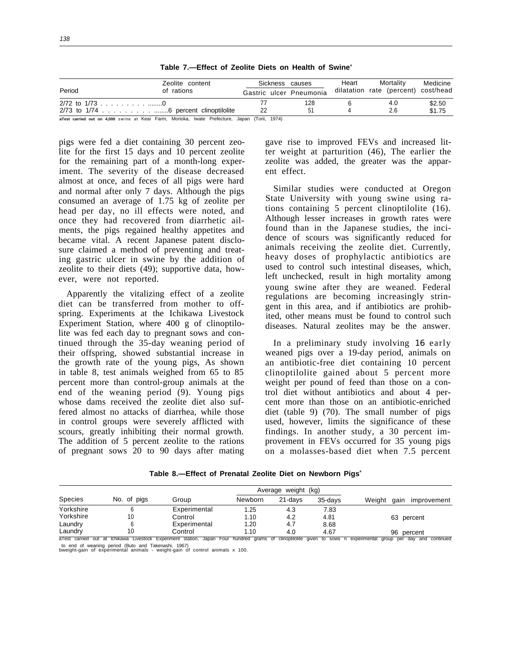| Gastric ulcer Pneumonia |                                                                                                    | dilatation rate (percent) cost/head |        |
|-------------------------|----------------------------------------------------------------------------------------------------|-------------------------------------|--------|
|                         |                                                                                                    |                                     |        |
|                         | 128                                                                                                | 4.0                                 | \$2.50 |
| 22                      | 51                                                                                                 | 2.6                                 | \$1.75 |
|                         | -Track constant and an 4,000 students at Kooi Form Morioleo, Justo Drofoeture, Jones (Terii, 1074) |                                     |        |

Table 7.-Effect of Zeolite Diets on Health of Swine<sup>®</sup>

000 swine at Keai Farm, Morioka, Iwate Prefecture, Japan (Torii, 1974)

pigs were fed a diet containing 30 percent zeolite for the first 15 days and 10 percent zeolite for the remaining part of a month-long experiment. The severity of the disease decreased almost at once, and feces of all pigs were hard and normal after only 7 days. Although the pigs consumed an average of 1.75 kg of zeolite per head per day, no ill effects were noted, and once they had recovered from diarrhetic ailments, the pigs regained healthy appetites and became vital. A recent Japanese patent disclosure claimed a method of preventing and treating gastric ulcer in swine by the addition of zeolite to their diets (49); supportive data, however, were not reported.

Apparently the vitalizing effect of a zeolite diet can be transferred from mother to offspring. Experiments at the Ichikawa Livestock Experiment Station, where 400 g of clinoptilolite was fed each day to pregnant sows and continued through the 35-day weaning period of their offspring, showed substantial increase in the growth rate of the young pigs, As shown in table 8, test animals weighed from 65 to 85 percent more than control-group animals at the end of the weaning period (9). Young pigs whose dams received the zeolite diet also suffered almost no attacks of diarrhea, while those in control groups were severely afflicted with scours, greatly inhibiting their normal growth. The addition of 5 percent zeolite to the rations of pregnant sows 20 to 90 days after mating

gave rise to improved FEVs and increased litter weight at parturition (46), The earlier the zeolite was added, the greater was the apparent effect.

Similar studies were conducted at Oregon State University with young swine using rations containing 5 percent clinoptilolite (16). Although lesser increases in growth rates were found than in the Japanese studies, the incidence of scours was significantly reduced for animals receiving the zeolite diet. Currently, heavy doses of prophylactic antibiotics are used to control such intestinal diseases, which, left unchecked, result in high mortality among young swine after they are weaned. Federal regulations are becoming increasingly stringent in this area, and if antibiotics are prohibited, other means must be found to control such diseases. Natural zeolites may be the answer.

In a preliminary study involving *16* early weaned pigs over a 19-day period, animals on an antibiotic-free diet containing 10 percent clinoptilolite gained about 5 percent more weight per pound of feed than those on a control diet without antibiotics and about 4 percent more than those on an antibiotic-enriched diet (table 9) (70). The small number of pigs used, however, limits the significance of these findings. In another study, a 30 percent improvement in FEVs occurred for 35 young pigs on a molasses-based diet when 7.5 percent

Table 8.—Effect of Prenatal Zeolite Diet on Newborn Pigs<sup>a</sup>

|                |             |              |         | Average weight (kg) |         |                                                                                                                                                                       |
|----------------|-------------|--------------|---------|---------------------|---------|-----------------------------------------------------------------------------------------------------------------------------------------------------------------------|
| <b>Species</b> | No. of pigs | Group        | Newborn | 21-davs             | 35-davs | Weight<br>improvement<br>qain                                                                                                                                         |
| Yorkshire      |             | Experimental | 1.25    | 4.3                 | 7.83    |                                                                                                                                                                       |
| Yorkshire      | 10          | Control      | 1.10    | 4.2                 | 4.81    | 63 percent                                                                                                                                                            |
| Laundry        |             | Experimental | 1.20    | 4.7                 | 8.68    |                                                                                                                                                                       |
| Laundry        |             | Control      | 1.10    | 4.0                 | 4.67    | 96 percent                                                                                                                                                            |
|                |             |              |         |                     |         | aTest carried out at Ichikawa Livestock Experiment station, Japan Four hundred grams of clinoptilolite given to sows n experimental group per day<br>continued<br>and |

to end of weaning period (Buto and Takenashi, 1967) bweight-gain of experimental animals - weight-gain of control animals x 100.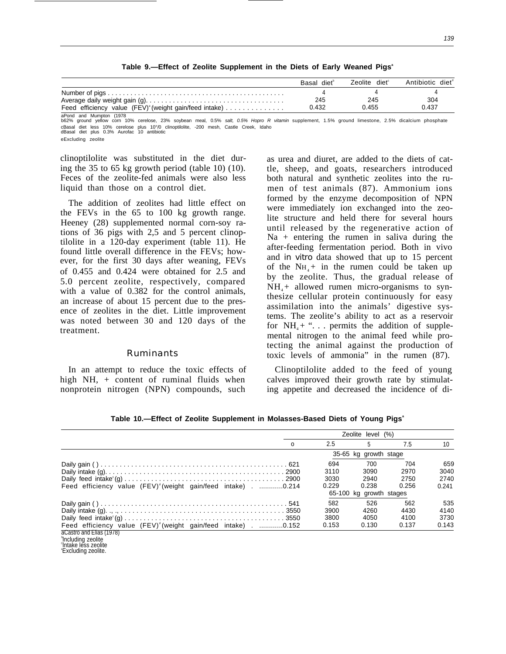|                                                                 | Basal diet <sup>®</sup> | Zeolite diet <sup>e</sup> | Antibiotic diet <sup>®</sup> |
|-----------------------------------------------------------------|-------------------------|---------------------------|------------------------------|
|                                                                 |                         |                           |                              |
|                                                                 | 245                     | 245                       | 304                          |
| Feed efficiency value $(FEV)^{\circ}$ (weight gain/feed intake) | 0.432                   | 0.455                     | 0.437                        |
| aPond and Mumpton (1978)                                        |                         |                           |                              |

**Table 9.—Effect of Zeolite Supplement in the Diets of Early Weaned Pigs<sup>a</sup>**

b62% ground yellow corn 10% cerelose, 23% soybean meal, 0.5% salt, 0.5% Hopro R vitamin supplement, 1.5% ground limestone, 2.5% dicalcium phosphate cBasal diet less 10% cerelose plus 10°/0 clinoptilolite, -200 mesh, Castle Creek, Idaho dBasal diet plus 0.3% Aurofac 10 antibiotic

eExcluding zeolite

clinoptilolite was substituted in the diet during the 35 to 65 kg growth period (table 10) (10). Feces of the zeolite-fed animals were also less liquid than those on a control diet.

The addition of zeolites had little effect on the FEVs in the 65 to 100 kg growth range. Heeney (28) supplemented normal corn-soy rations of 36 pigs with 2,5 and 5 percent clinoptilolite in a 120-day experiment (table 11). He found little overall difference in the FEVs; however, for the first 30 days after weaning, FEVs of 0.455 and 0.424 were obtained for 2.5 and 5.0 percent zeolite, respectively, compared with a value of 0.382 for the control animals, an increase of about 15 percent due to the presence of zeolites in the diet. Little improvement was noted between 30 and 120 days of the treatment.

#### Ruminants

In an attempt to reduce the toxic effects of high NH, + content of ruminal fluids when nonprotein nitrogen (NPN) compounds, such

as urea and diuret, are added to the diets of cattle, sheep, and goats, researchers introduced both natural and synthetic zeolites into the rumen of test animals (87). Ammonium ions formed by the enzyme decomposition of NPN were immediately ion exchanged into the zeolite structure and held there for several hours until released by the regenerative action of  $Na +$  entering the rumen in saliva during the after-feeding fermentation period. Both in vivo and *in vitro* data showed that up to 15 percent of the  $NH<sub>4</sub>$ + in the rumen could be taken up by the zeolite. Thus, the gradual release of  $NH<sub>4</sub>$  + allowed rumen micro-organisms to synthesize cellular protein continuously for easy assimilation into the animals' digestive systems. The zeolite's ability to act as a reservoir for  $NH_4 +$  "... permits the addition of supplemental nitrogen to the animal feed while protecting the animal against the production of toxic levels of ammonia" in the rumen (87).

Clinoptilolite added to the feed of young calves improved their growth rate by stimulating appetite and decreased the incidence of di-

**Table 10.—Effect of Zeolite Supplement in Molasses-Based Diets of Young Pigs<sup>a</sup>**

|                                                                         |       | Zeolite level (%)       |       |       |
|-------------------------------------------------------------------------|-------|-------------------------|-------|-------|
| $\Omega$                                                                | 2.5   | 5                       | 7.5   | 10    |
|                                                                         |       | 35-65 kg growth stage   |       |       |
|                                                                         | 694   | 700                     | 704   | 659   |
|                                                                         | 3110  | 3090                    | 2970  | 3040  |
|                                                                         | 3030  | 2940                    | 2750  | 2740  |
| Feed efficiency value (FEV) <sup>o</sup> (weight gain/feed intake)0.214 | 0.229 | 0.238                   | 0.256 | 0.241 |
|                                                                         |       | 65-100 kg growth stages |       |       |
|                                                                         | 582   | 526                     | 562   | 535   |
|                                                                         | 3900  | 4260                    | 4430  | 4140  |
|                                                                         | 3800  | 4050                    | 4100  | 3730  |
| Feed efficiency value (FEV) <sup>d</sup> (weight gain/feed intake)0.152 | 0.153 | 0.130                   | 0.137 | 0.143 |
| aCastro and Elias (1978)                                                |       |                         |       |       |
| <sup>b</sup> including zeolite                                          |       |                         |       |       |

<sup>°</sup>Including zeolite<br>°Intake less zeolite

<sup>&#</sup>x27;Excluding zeolite.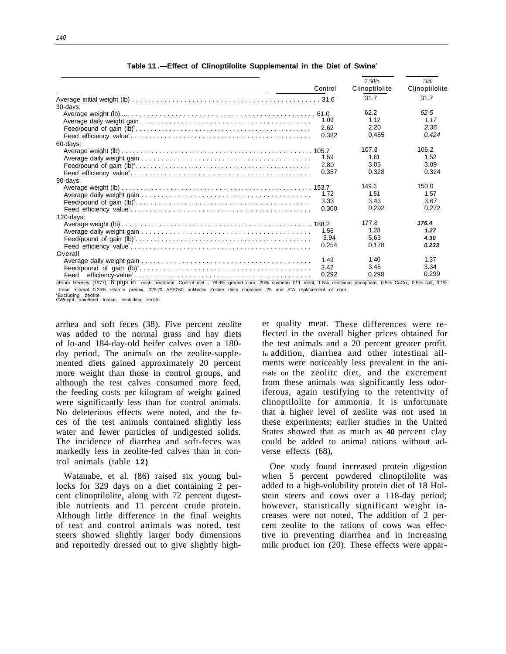|                                                                                                                                                              | Control | 2.50/a<br>Clinoptilolite | 50/0<br>Clinoptilolite |
|--------------------------------------------------------------------------------------------------------------------------------------------------------------|---------|--------------------------|------------------------|
|                                                                                                                                                              |         | 31.7                     | 31.7                   |
| $30$ -days:                                                                                                                                                  |         |                          |                        |
|                                                                                                                                                              |         | 62.2                     | 62.5                   |
|                                                                                                                                                              | 1.09    | 1.12                     | 1.17                   |
|                                                                                                                                                              | 2.62    | 2.20                     | 2.36                   |
|                                                                                                                                                              | 0.382   | 0,455                    | 0.424                  |
| 60-days:                                                                                                                                                     |         |                          |                        |
|                                                                                                                                                              |         | 107.3                    | 106.2                  |
|                                                                                                                                                              | 1.59    | 1.61                     | 1.52                   |
|                                                                                                                                                              | 2.80    | 3.05                     | 3.09                   |
|                                                                                                                                                              | 0.357   | 0.328                    | 0.324                  |
| 90-days:                                                                                                                                                     |         |                          |                        |
|                                                                                                                                                              |         | 149.6                    | 150.0                  |
|                                                                                                                                                              | 1.72    | 1.51                     | 1.57                   |
|                                                                                                                                                              | 3.33    | 3.43                     | 3.67                   |
|                                                                                                                                                              | 0.300   | 0.292                    | 0.272                  |
| $120$ -days:                                                                                                                                                 |         |                          |                        |
|                                                                                                                                                              |         | 177.8                    | 176.4                  |
|                                                                                                                                                              | 1.56    | 1.28                     | 1.27                   |
|                                                                                                                                                              | 3.94    | 5.63                     | 4.30                   |
|                                                                                                                                                              | 0.254   | 0.178                    | 0.233                  |
| Overall                                                                                                                                                      |         |                          |                        |
|                                                                                                                                                              | 1.49    | 1.40                     | 1.37                   |
|                                                                                                                                                              | 3.42    | 3.45                     | 3.34                   |
| Feed                                                                                                                                                         | 0.292   | 0.290                    | 0.299                  |
| aFrom Heeney (1977), 6 Digs in each treatment. Control diet - 76.9% ground corn, 20% soybean 011 meal, 1.5% dicalcium phosphate, 0.5% CaCo., 0.5% salt, 0.1% |         |                          |                        |

#### **Table 11 .—Effect of Clinoptilolite Supplemental in the Diet of Swine<sup>a</sup>**

trace mineral 0.25% vitamin premix, 025°/0 ASP250 antibiotic Zeolite diets contained 25 and 5°A replacement of corn.

<sup>b</sup>Excluding zeolite CWeight gain/feed Intake, excluding zeolite

arrhea and soft feces (38). Five percent zeolite was added to the normal grass and hay diets of lo-and 184-day-old heifer calves over a 180 day period. The animals on the zeolite-supplemented diets gained approximately 20 percent more weight than those in control groups, and although the test calves consumed more feed, the feeding costs per kilogram of weight gained were significantly less than for control animals. No deleterious effects were noted, and the feces of the test animals contained slightly less water and fewer particles of undigested solids. The incidence of diarrhea and soft-feces was markedly less in zeolite-fed calves than in control animals (table **12)**

Watanabe, et al. (86) raised six young bullocks for 329 days on a diet containing 2 percent clinoptilolite, along with 72 percent digestible nutrients and 11 percent crude protein. Although little difference in the final weights of test and control animals was noted, test steers showed slightly larger body dimensions and reportedly dressed out to give slightly higher quality meat. These differences were reflected in the overall higher prices obtained for the test animals and a 20 percent greater profit. In addition, diarrhea and other intestinal ailments were noticeably less prevalent in the animals on the zeolitc diet, and the excrement from these animals was significantly less odoriferous, again testifying to the retentivity of clinoptilolite for ammonia. It is unfortunate that a higher level of zeolite was not used in these experiments; earlier studies in the United States showed that as much as **40** percent clay could be added to animal rations without adverse effects (68),

One study found increased protein digestion when 5 percent powdered clinoptilolite was added to a high-volubility protein diet of 18 Holstein steers and cows over a 118-day period; however, statistically significant weight increases were not noted, The addition of 2 percent zeolite to the rations of cows was effective in preventing diarrhea and in increasing milk product ion (20). These effects were appar-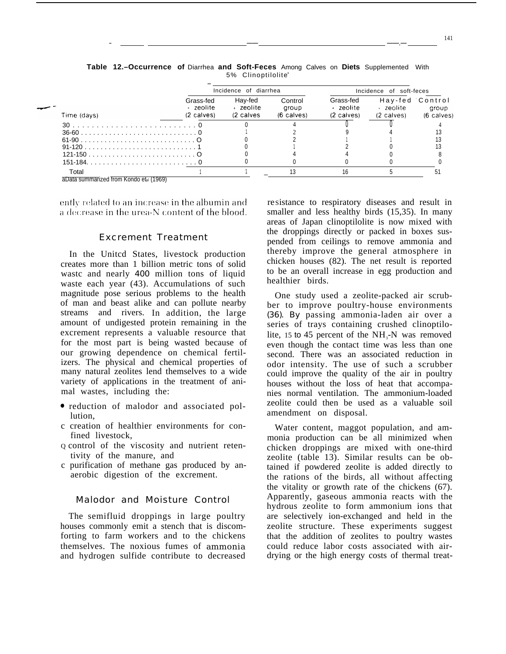|             |                                                | Incidence of diarrhea              |                                |                                                | Incidence of soft-feces |                                        |
|-------------|------------------------------------------------|------------------------------------|--------------------------------|------------------------------------------------|-------------------------|----------------------------------------|
| Time (days) | Grass-fed<br>+ zeolite<br>$(2 \text{ values})$ | Hay-fed<br>+ zeolite<br>(2 calves) | Control<br>group<br>(6 calves) | Grass-fed<br>+ zeolite<br>$(2 \text{ values})$ | → zeolite<br>(2 calves) | Hay-fed Control<br>aroup<br>(6 calves) |
|             |                                                |                                    |                                |                                                |                         |                                        |
|             |                                                |                                    |                                |                                                |                         |                                        |
|             |                                                |                                    |                                |                                                |                         |                                        |
|             |                                                |                                    |                                |                                                |                         |                                        |
|             |                                                |                                    |                                |                                                |                         |                                        |
|             |                                                |                                    |                                |                                                |                         |                                        |
| Total       |                                                |                                    |                                |                                                |                         |                                        |

**Table 12.–Occurrence of** Diarrhea **and Soft-Feces** Among Calves on **Diets** Supplemented With 5% Clinoptilolite a

— —— ——.—

aData summarized from Kondo et al (1969)

ently related to an increase in the albumin and a decrease in the urea-N content of the blood.

#### Excrement Treatment

In the Unitcd States, livestock production creates more than 1 billion metric tons of solid wastc and nearly *400* million tons of liquid waste each year (43). Accumulations of such magnitude pose serious problems to the health of man and beast alike and can pollute nearby streams and rivers. In addition, the large amount of undigested protein remaining in the excrement represents a valuable resource that for the most part is being wasted because of our growing dependence on chemical fertilizers. The physical and chemical properties of many natural zeolites lend themselves to a wide variety of applications in the treatment of animal wastes, including the:

- c reduction of malodor and associated pollution,
- c creation of healthier environments for confined livestock,
- Q control of the viscosity and nutrient retentivity of the manure, and
- c purification of methane gas produced by anaerobic digestion of the excrement.

#### Malodor and Moisture Control

The semifluid droppings in large poultry houses commonly emit a stench that is discomforting to farm workers and to the chickens themselves. The noxious fumes of ammonia and hydrogen sulfide contribute to decreased

reSistance to respiratory diseases and result in smaller and less healthy birds (15,35). In many areas of Japan clinoptilolite is now mixed with the droppings directly or packed in boxes suspended from ceilings to remove ammonia and thereby improve the general atmosphere in chicken houses (82). The net result is reported to be an overall increase in egg production and healthier birds.

One study used a zeolite-packed air scrubber to improve poultry-house environments *(36). By* passing ammonia-laden air over a series of trays containing crushed clinoptilolite, 15 to 45 percent of the  $NH<sub>3</sub>$ -N was removed even though the contact time was less than one second. There was an associated reduction in odor intensity. The use of such a scrubber could improve the quality of the air in poultry houses without the loss of heat that accompanies normal ventilation. The ammonium-loaded zeolite could then be used as a valuable soil amendment on disposal.

Water content, maggot population, and ammonia production can be all minimized when chicken droppings are mixed with one-third zeolite (table 13). Similar results can be obtained if powdered zeolite is added directly to the rations of the birds, all without affecting the vitality or growth rate of the chickens (67). Apparently, gaseous ammonia reacts with the hydrous zeolite to form ammonium ions that are selectively ion-exchanged and held in the zeolite structure. These experiments suggest that the addition of zeolites to poultry wastes could reduce labor costs associated with airdrying or the high energy costs of thermal treat-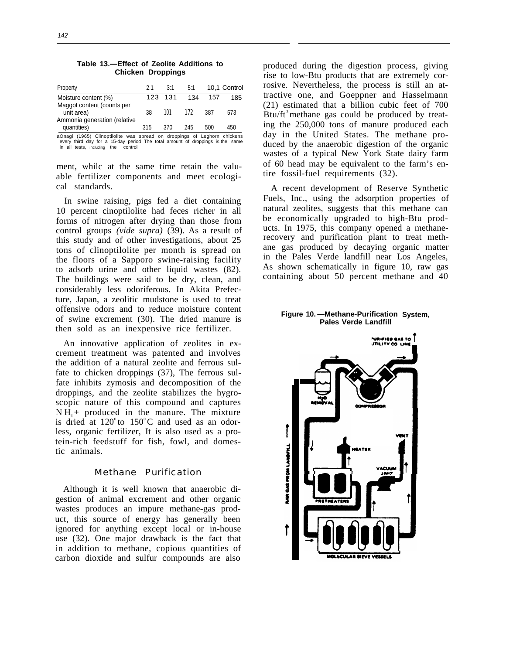| Property                                    | 21  | 3:1     | 5:1 |     | 10.1 Control |
|---------------------------------------------|-----|---------|-----|-----|--------------|
| Moisture content (%)                        |     | 123 131 | 134 | 157 | 185          |
| Maggot content (counts per<br>unit area)    | 38  | 101     | 172 | 387 | 573          |
| Ammonia generation (relative<br>quantities) | 315 | 370     | 245 | 500 | 450          |
|                                             |     |         |     |     |              |

**Table 13.—Effect of Zeolite Additions to Chicken Droppings**

aOnagi (1965) Clinoptilolite was spread on droppings of Leghorn chickens every third day for a 15-day period The total amount of droppings iS the same every third day tor a 15-day pend<br>in all tests, including the control

ment, whilc at the same time retain the valuable fertilizer components and meet ecological standards.

In swine raising, pigs fed a diet containing 10 percent cinoptilolite had feces richer in all forms of nitrogen after drying than those from control groups *(vide supra)* (39). As a result of this study and of other investigations, about 25 tons of clinoptilolite per month is spread on the floors of a Sapporo swine-raising facility to adsorb urine and other liquid wastes (82). The buildings were said to be dry, clean, and considerably less odoriferous. In Akita Prefecture, Japan, a zeolitic mudstone is used to treat offensive odors and to reduce moisture content of swine excrement (30). The dried manure is then sold as an inexpensive rice fertilizer.

An innovative application of zeolites in excrement treatment was patented and involves the addition of a natural zeolite and ferrous sulfate to chicken droppings (37), The ferrous sulfate inhibits zymosis and decomposition of the droppings, and the zeolite stabilizes the hygroscopic nature of this compound and captures  $NH<sub>+</sub>$  produced in the manure. The mixture is dried at  $120^{\circ}$  to  $150^{\circ}$ C and used as an odorless, organic fertilizer, It is also used as a protein-rich feedstuff for fish, fowl, and domestic animals.

#### Methane Purification

Although it is well known that anaerobic digestion of animal excrement and other organic wastes produces an impure methane-gas product, this source of energy has generally been ignored for anything except local or in-house use (32). One major drawback is the fact that in addition to methane, copious quantities of carbon dioxide and sulfur compounds are also

produced during the digestion process, giving rise to low-Btu products that are extremely corrosive. Nevertheless, the process is still an attractive one, and Goeppner and Hasselmann (21) estimated that a billion cubic feet of 700 Btu/ft<sup>3</sup> methane gas could be produced by treating the 250,000 tons of manure produced each day in the United States. The methane produced by the anaerobic digestion of the organic wastes of a typical New York State dairy farm of 60 head may be equivalent to the farm's entire fossil-fuel requirements (32).

A recent development of Reserve Synthetic Fuels, Inc., using the adsorption properties of natural zeolites, suggests that this methane can be economically upgraded to high-Btu products. In 1975, this company opened a methanerecovery and purification plant to treat methane gas produced by decaying organic matter in the Pales Verde landfill near Los Angeles, As shown schematically in figure 10, raw gas containing about 50 percent methane and 40

#### **Figure 10. —Methane-Purification System, Pales Verde Landfill**

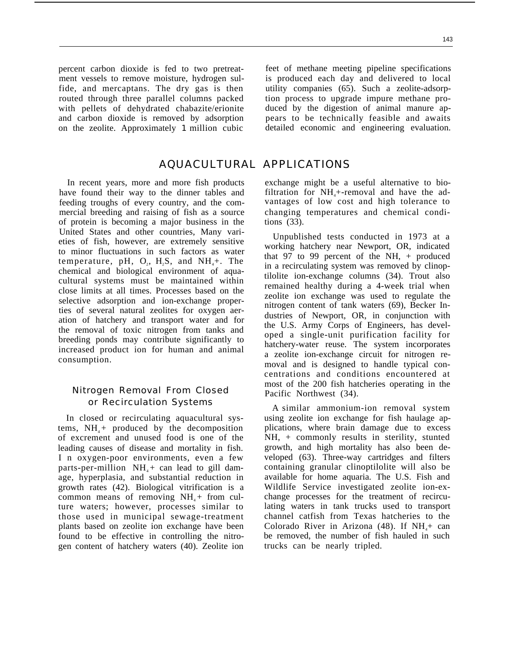ment vessels to remove moisture, hydrogen sul- is produced each day and delivered to local fide, and mercaptans. The dry gas is then utility companies (65). Such a zeolite-adsorprouted through three parallel columns packed tion process to upgrade impure methane prowith pellets of dehydrated chabazite/erionite duced by the digestion of animal manure apand carbon dioxide is removed by adsorption pears to be technically feasible and awaits on the zeolite. Approximately *1* million cubic detailed economic and engineering evaluation.

# AQUACULTURAL APPLICATIONS

In recent years, more and more fish products have found their way to the dinner tables and feeding troughs of every country, and the commercial breeding and raising of fish as a source of protein is becoming a major business in the United States and other countries, Many varieties of fish, however, are extremely sensitive to minor fluctuations in such factors as water temperature, pH,  $O_2$ ,  $H_2S$ , and  $NH_4+$ . The chemical and biological environment of aquacultural systems must be maintained within close limits at all times. Processes based on the selective adsorption and ion-exchange properties of several natural zeolites for oxygen aeration of hatchery and transport water and for the removal of toxic nitrogen from tanks and breeding ponds may contribute significantly to increased product ion for human and animal consumption.

## Nitrogen Removal From Closed or Recirculation Systems

In closed or recirculating aquacultural systems,  $NH<sub>4</sub>$ + produced by the decomposition of excrement and unused food is one of the leading causes of disease and mortality in fish. I n oxygen-poor environments, even a few parts-per-million  $NH<sub>4</sub> + can lead to gill dam$ age, hyperplasia, and substantial reduction in growth rates (42). Biological vitrification is a common means of removing  $NH<sub>4</sub>$  from culture waters; however, processes similar to those used in municipal sewage-treatment plants based on zeolite ion exchange have been found to be effective in controlling the nitrogen content of hatchery waters (40). Zeolite ion

percent carbon dioxide is fed to two pretreat- feet of methane meeting pipeline specifications

exchange might be a useful alternative to biofiltration for  $NH +$ -removal and have the advantages of low cost and high tolerance to changing temperatures and chemical conditions (33).

Unpublished tests conducted in 1973 at a working hatchery near Newport, OR, indicated that 97 to 99 percent of the NH,  $+$  produced in a recirculating system was removed by clinoptilolite ion-exchange columns (34). Trout also remained healthy during a 4-week trial when zeolite ion exchange was used to regulate the nitrogen content of tank waters (69), Becker Industries of Newport, OR, in conjunction with the U.S. Army Corps of Engineers, has developed a single-unit purification facility for hatchery-water reuse. The system incorporates a zeolite ion-exchange circuit for nitrogen removal and is designed to handle typical concentrations and conditions encountered at most of the 200 fish hatcheries operating in the Pacific Northwest (34).

A similar ammonium-ion removal system using zeolite ion exchange for fish haulage applications, where brain damage due to excess NH, + commonly results in sterility, stunted growth, and high mortality has also been developed (63). Three-way cartridges and filters containing granular clinoptilolite will also be available for home aquaria. The U.S. Fish and Wildlife Service investigated zeolite ion-exchange processes for the treatment of recirculating waters in tank trucks used to transport channel catfish from Texas hatcheries to the Colorado River in Arizona  $(48)$ . If NH<sub>4</sub>+ can be removed, the number of fish hauled in such trucks can be nearly tripled.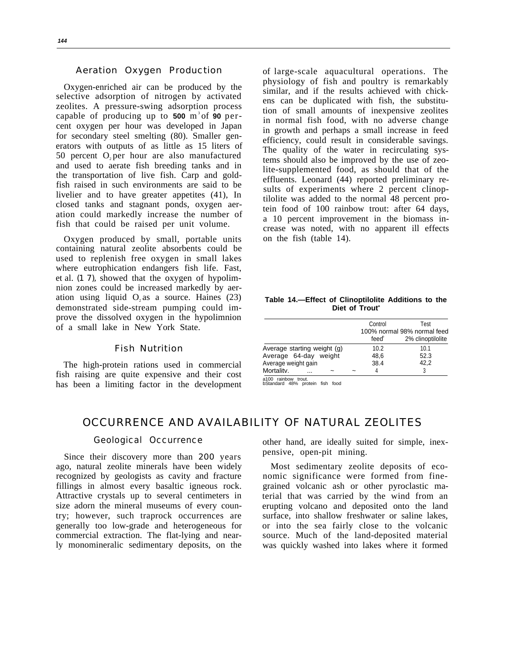#### Aeration Oxygen Production

Oxygen-enriched air can be produced by the selective adsorption of nitrogen by activated zeolites. A pressure-swing adsorption process capable of producing up to **500** m <sup>3</sup>of **90** percent oxygen per hour was developed in Japan for secondary steel smelting (80). Smaller generators with outputs of as little as 15 liters of 50 percent O, per hour are also manufactured and used to aerate fish breeding tanks and in the transportation of live fish. Carp and goldfish raised in such environments are said to be livelier and to have greater appetites (41), In closed tanks and stagnant ponds, oxygen aeration could markedly increase the number of fish that could be raised per unit volume.

Oxygen produced by small, portable units containing natural zeolite absorbents could be used to replenish free oxygen in small lakes where eutrophication endangers fish life. Fast, et al. *(1 7),* showed that the oxygen of hypolimnion zones could be increased markedly by aeration using liquid  $O$ , as a source. Haines  $(23)$ demonstrated side-stream pumping could improve the dissolved oxygen in the hypolimnion of a small lake in New York State.

#### Fish Nutrition

The high-protein rations used in commercial fish raising are quite expensive and their cost has been a limiting factor in the development

of large-scale aquacultural operations. The physiology of fish and poultry is remarkably similar, and if the results achieved with chickens can be duplicated with fish, the substitution of small amounts of inexpensive zeolites in normal fish food, with no adverse change in growth and perhaps a small increase in feed efficiency, could result in considerable savings. The quality of the water in recirculating systems should also be improved by the use of zeolite-supplemented food, as should that of the effluents. Leonard (44) reported preliminary results of experiments where 2 percent clinoptilolite was added to the normal 48 percent protein food of 100 rainbow trout: after 64 days, a 10 percent improvement in the biomass increase was noted, with no apparent ill effects on the fish (table 14).

#### **Table 14.—Effect of Clinoptilolite Additions to the Diet of Trout<sup>a</sup>**

|                             | Control | Test                        |
|-----------------------------|---------|-----------------------------|
|                             |         | 100% normal 98% normal feed |
|                             | feed®   | 2% clinoptilolite           |
| Average starting weight (g) | 10.2    | 10.1                        |
| Average 64-day weight       | 48.6    | 52.3                        |
| Average weight gain         | 38.4    | 42.2                        |
| Mortality.<br>              |         | 3                           |
| a100 rainhow trout          |         |                             |

a100 rainbow trout. bStandard 48% protein fish food

# OCCURRENCE AND AVAILABILITY OF NATURAL ZEOLITES

Since their discovery more than 200 years ago, natural zeolite minerals have been widely Most sedimentary zeolite deposits of ecorecognized by geologists as cavity and fracture nomic significance were formed from finefillings in almost every basaltic igneous rock. grained volcanic ash or other pyroclastic ma-Attractive crystals up to several centimeters in terial that was carried by the wind from an size adorn the mineral museums of every coun- erupting volcano and deposited onto the land try; however, such traprock occurrences are surface, into shallow freshwater or saline lakes, generally too low-grade and heterogeneous for or into the sea fairly close to the volcanic commercial extraction. The flat-lying and near- source. Much of the land-deposited material

Geological Occurrence other hand, are ideally suited for simple, inexpensive, open-pit mining.

ly monomineralic sedimentary deposits, on the was quickly washed into lakes where it formed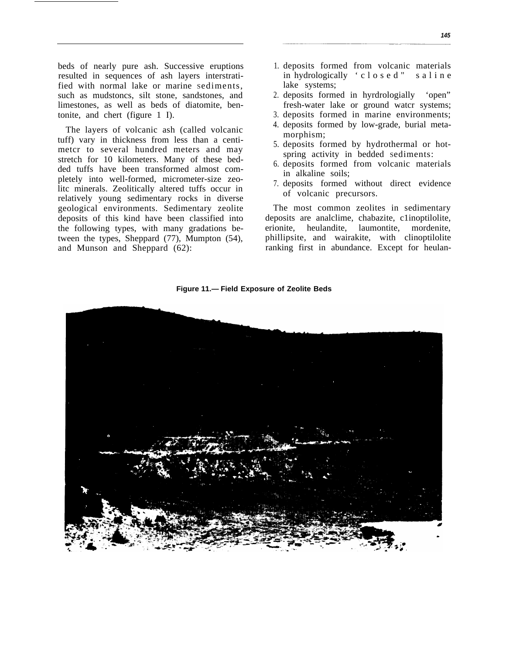beds of nearly pure ash. Successive eruptions resulted in sequences of ash layers interstratified with normal lake or marine Sediments, such as mudstoncs, silt stone, sandstones, and limestones, as well as beds of diatomite, bentonite, and chert (figure 1 I).

The layers of volcanic ash (called volcanic tuff) vary in thickness from less than a centimetcr to several hundred meters and may stretch for 10 kilometers. Many of these bedded tuffs have been transformed almost completely into well-formed, micrometer-size zeolitc minerals. Zeolitically altered tuffs occur in relatively young sedimentary rocks in diverse geological environments. Sedimentary zeolite deposits of this kind have been classified into the following types, with many gradations between the types, Sheppard (77), Mumpton (54), and Munson and Sheppard (62):

- 1. deposits formed from volcanic materials in hydrologically 'closed" salin e lake systems;
- 2. deposits formed in hyrdrologially 'open" fresh-water lake or ground watcr systems;
- 3. deposits formed in marine environments;
- 4. deposits formed by low-grade, burial metamorphism;
- 5. deposits formed by hydrothermal or hotspring activity in bedded sediments:
- 6. deposits formed from volcanic materials in alkaline soils;
- 7. deposits formed without direct evidence of volcanic precursors.

The most common zeolites in sedimentary deposits are analclime, chabazite, c1inoptilolite, erionite, heulandite, laumontite, mordenite, phillipsite, and wairakite, with clinoptilolite ranking first in abundance. Except for heulan-

**Figure 11.— Field Exposure of Zeolite Beds**

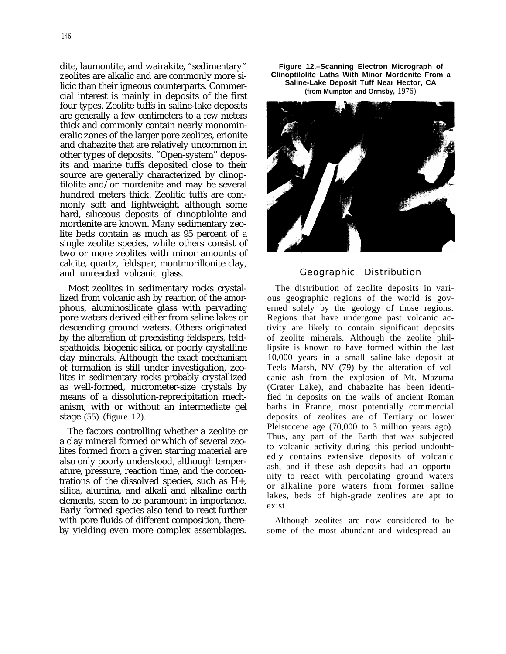dite, laumontite, and wairakite, "sedimentary" zeolites are alkalic and are commonly more silicic than their igneous counterparts. Commercial interest is mainly in deposits of the first four types. Zeolite tuffs in saline-lake deposits are generally a few centimeters to a few meters thick and commonly contain nearly monomineralic zones of the larger pore zeolites, erionite and chabazite that are relatively uncommon in other types of deposits. "Open-system" deposits and marine tuffs deposited close to their source are generally characterized by clinoptilolite and/or mordenite and may be several hundred meters thick. Zeolitic tuffs are commonly soft and lightweight, although some hard, siliceous deposits of clinoptilolite and mordenite are known. Many sedimentary zeolite beds contain as much as 95 percent of a single zeolite species, while others consist of two or more zeolites with minor amounts of calcite, quartz, feldspar, montmorillonite clay, and unreacted volcanic glass.

Most zeolites in sedimentary rocks crystallized from volcanic ash by reaction of the amorphous, aluminosilicate glass with pervading pore waters derived either from saline lakes or descending ground waters. Others originated by the alteration of preexisting feldspars, feldspathoids, biogenic silica, or poorly crystalline clay minerals. Although the exact mechanism of formation is still under investigation, zeolites in sedimentary rocks probably crystallized as well-formed, micrometer-size crystals by means of a dissolution-reprecipitation mechanism, with or without an intermediate gel stage (55) (figure 12).

The factors controlling whether a zeolite or a clay mineral formed or which of several zeolites formed from a given starting material are also only poorly understood, although temperature, pressure, reaction time, and the concentrations of the dissolved species, such as H+, silica, alumina, and alkali and alkaline earth elements, seem to be paramount in importance. Early formed species also tend to react further with pore fluids of different composition, thereby yielding even more complex assemblages.

**Figure 12.–Scanning Electron Micrograph of Clinoptilolite Laths With Minor Mordenite From a Saline-Lake Deposit Tuff Near Hector, CA (from Mumpton and Ormsby,** 1976)



#### Geographic Distribution

The distribution of zeolite deposits in various geographic regions of the world is governed solely by the geology of those regions. Regions that have undergone past volcanic activity are likely to contain significant deposits of zeolite minerals. Although the zeolite phillipsite is known to have formed within the last 10,000 years in a small saline-lake deposit at Teels Marsh, NV (79) by the alteration of volcanic ash from the explosion of Mt. Mazuma (Crater Lake), and chabazite has been identified in deposits on the walls of ancient Roman baths in France, most potentially commercial deposits of zeolites are of Tertiary or lower Pleistocene age (70,000 to 3 million years ago). Thus, any part of the Earth that was subjected to volcanic activity during this period undoubtedly contains extensive deposits of volcanic ash, and if these ash deposits had an opportunity to react with percolating ground waters or alkaline pore waters from former saline lakes, beds of high-grade zeolites are apt to exist.

Although zeolites are now considered to be some of the most abundant and widespread au-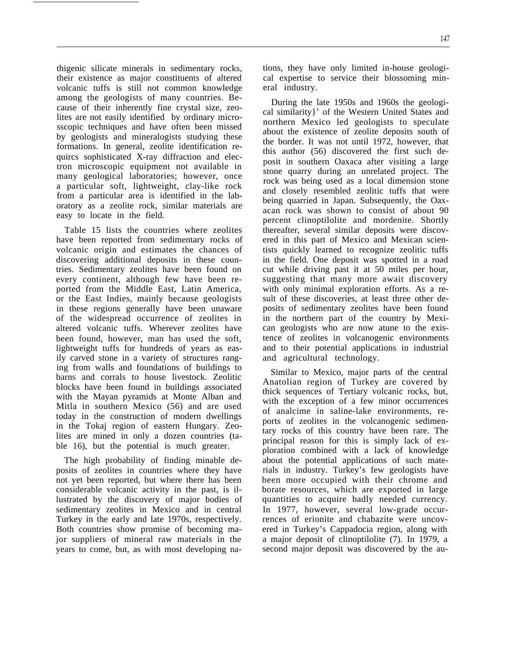thigenic silicate minerals in sedimentary rocks, their existence as major constituents of altered volcanic tuffs is still not common knowledge among the geologists of many countries. Because of their inherently fine crystal size, zeolites are not easily identified by ordinary microsscopic techniques and have often been missed by geologists and mineralogists studying these formations. In general, zeolite identification requircs sophisticated X-ray diffraction and electron microscopic equipment not available in many geological laboratories; however, once a particular soft, lightweight, clay-like rock from a particular area is identified in the laboratory as a zeolite rock, similar materials are easy to locate in the field.

Table 15 lists the countries where zeolites have been reported from sedimentary rocks of volcanic origin and estimates the chances of discovering additional deposits in these countries. Sedimentary zeolites have been found on every continent, although few have been reported from the Middle East, Latin America, or the East Indies, mainly because geologists in these regions generally have been unaware of the widespread occurrence of zeolites in altered volcanic tuffs. Wherever zeolites have been found, however, man has used the soft, lightweight tuffs for hundreds of years as easily carved stone in a variety of structures ranging from walls and foundations of buildings to barns and corrals to house livestock. Zeolitic blocks have been found in buildings associated with the Mayan pyramids at Monte Alban and Mitla in southern Mexico (56) and are used today in the construction of modern dwellings in the Tokaj region of eastern Hungary. Zeolites are mined in only a dozen countries (table 16), but the potential is much greater.

The high probability of finding minable deposits of zeolites in countries where they have not yet been reported, but where there has been considerable volcanic activity in the past, is illustrated by the discovery of major bodies of sedimentary zeolites in Mexico and in central Turkey in the early and late 1970s, respectively. Both countries show promise of becoming major suppliers of mineral raw materials in the years to come, but, as with most developing nations, they have only limited in-house geological expertise to service their blossoming mineral industry.

During the late 1950s and 1960s the geological similarity}' of the Western United States and northern Mexico led geologists to speculate about the existence of zeolite deposits south of the border. It was not until 1972, however, that this author (56) discovered the first such deposit in southern Oaxaca after visiting a large stone quarry during an unrelated project. The rock was being used as a local dimension stone and closely resembled zeolitic tuffs that were being quarried in Japan. Subsequently, the Oaxacan rock was shown to consist of about 90 percent clinoptilolite and mordenite. Shortly thereafter, several similar deposits were discovered in this part of Mexico and Mexican scientists quickly learned to recognize zeolitic tuffs in the field. One deposit was spotted in a road cut while driving past it at 50 miles per hour, suggesting that many more await discovery with only minimal exploration efforts. As a result of these discoveries, at least three other deposits of sedimentary zeolites have been found in the northern part of the country by Mexican geologists who are now atune to the existence of zeolites in volcanogenic environments and to their potential applications in industrial and agricultural technology.

Similar to Mexico, major parts of the central Anatolian region of Turkey are covered by thick sequences of Tertiary volcanic rocks, but, with the exception of a few minor occurrences of analcime in saline-lake environments, reports of zeolites in the volcanogenic sedimentary rocks of this country have been rare. The principal reason for this is simply lack of exploration combined with a lack of knowledge about the potential applications of such materials in industry. Turkey's few geologists have been more occupied with their chrome and borate resources, which are exported in large quantities to acquire badly needed currency. In 1977, however, several low-grade occurrences of erionite and chabazite were uncovered in Turkey's Cappadocia region, along with a major deposit of clinoptilolite (7). In 1979, a second major deposit was discovered by the au-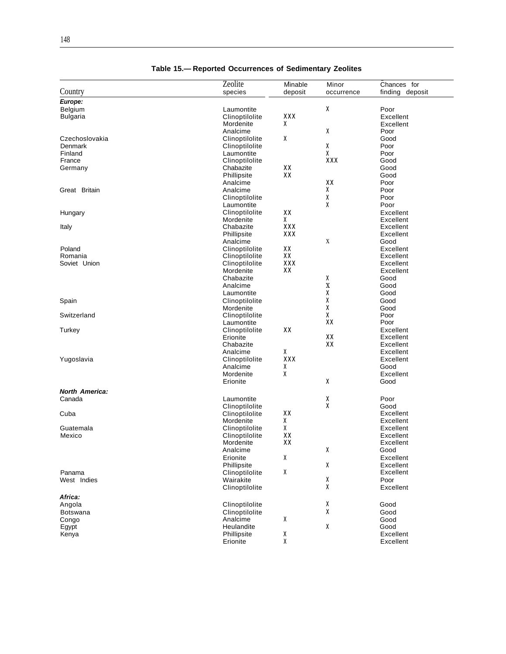|                       | Zeolite        | Minable    | Minor      | Chances for     |
|-----------------------|----------------|------------|------------|-----------------|
| Country               | species        | deposit    | occurrence | finding deposit |
|                       |                |            |            |                 |
| Europe:               |                |            |            |                 |
| Belgium               | Laumontite     |            | χ          | Poor            |
| <b>Bulgaria</b>       | Clinoptilolite | <b>XXX</b> |            | Excellent       |
|                       | Mordenite      | x          |            | Excellent       |
|                       | Analcime       |            | χ          | Poor            |
|                       |                | x          |            |                 |
| Czechoslovakia        | Clinoptilolite |            |            | Good            |
| Denmark               | Clinoptilolite |            | χ          | Poor            |
| Finland               | Laumontite     |            | X          | Poor            |
| France                | Clinoptilolite |            | XXX        | Good            |
| Germany               | Chabazite      | XX         |            | Good            |
|                       | Phillipsite    | XX         |            | Good            |
|                       | Analcime       |            | XX         | Poor            |
| Great Britain         | Analcime       |            | x          | Poor            |
|                       |                |            |            |                 |
|                       | Clinoptilolite |            | χ          | Poor            |
|                       | Laumontite     |            | χ          | Poor            |
| Hungary               | Clinoptilolite | XX         |            | Excellent       |
|                       | Mordenite      | X          |            | Excellent       |
| Italy                 | Chabazite      | <b>XXX</b> |            | Excellent       |
|                       | Phillipsite    | XXX        |            | Excellent       |
|                       | Analcime       |            | X          | Good            |
|                       |                |            |            |                 |
| Poland                | Clinoptilolite | XX         |            | Excellent       |
| Romania               | Clinoptilolite | XX         |            | Excellent       |
| Soviet Union          | Clinoptilolite | <b>XXX</b> |            | Excellent       |
|                       | Mordenite      | XX         |            | Excellent       |
|                       | Chabazite      |            | χ          | Good            |
|                       | Analcime       |            | X          | Good            |
|                       | Laumontite     |            | X          | Good            |
|                       |                |            |            |                 |
| Spain                 | Clinoptilolite |            | χ          | Good            |
|                       | Mordenite      |            | χ          | Good            |
| Switzerland           | Clinoptilolite |            | X          | Poor            |
|                       | Laumontite     |            | XX         | Poor            |
| Turkey                | Clinoptilolite | XX         |            | Excellent       |
|                       | Erionite       |            | XX         | Excellent       |
|                       | Chabazite      |            | XX         | Excellent       |
|                       |                | X          |            |                 |
|                       | Analcime       |            |            | Excellent       |
| Yugoslavia            | Clinoptilolite | <b>XXX</b> |            | Excellent       |
|                       | Analcime       | X          |            | Good            |
|                       | Mordenite      | χ          |            | Excellent       |
|                       | Erionite       |            | X          | Good            |
|                       |                |            |            |                 |
| <b>North America:</b> |                |            |            |                 |
| Canada                | Laumontite     |            | χ          | Poor            |
|                       | Clinoptilolite |            | X          | Good            |
| Cuba                  | Clinoptilolite | XX         |            | Excellent       |
|                       | Mordenite      | x          |            | Excellent       |
| Guatemala             | Clinoptilolite | X          |            | Excellent       |
| Mexico                | Clinoptilolite | XX         |            | Excellent       |
|                       |                |            |            |                 |
|                       | Mordenite      | XX         |            | Excellent       |
|                       | Analcime       |            | x          | Good            |
|                       | Erionite       | X          |            | Excellent       |
|                       | Phillipsite    |            | X          | Excellent       |
| Panama                | Clinoptilolite | χ          |            | Excellent       |
| West Indies           | Wairakite      |            | X          | Poor            |
|                       |                |            |            |                 |
|                       | Clinoptilolite |            | X          | Excellent       |
| Africa:               |                |            |            |                 |
| Angola                | Clinoptilolite |            | X          | Good            |
| <b>Botswana</b>       | Clinoptilolite |            | X          | Good            |
|                       |                | X          |            |                 |
| Congo                 | Analcime       |            |            | Good            |
| Egypt                 | Heulandite     |            | X          | Good            |
| Kenya                 | Phillipsite    | χ          |            | Excellent       |
|                       | Erionite       | χ          |            | Excellent       |

### **Table 15.— Reported Occurrences of Sedimentary Zeolites**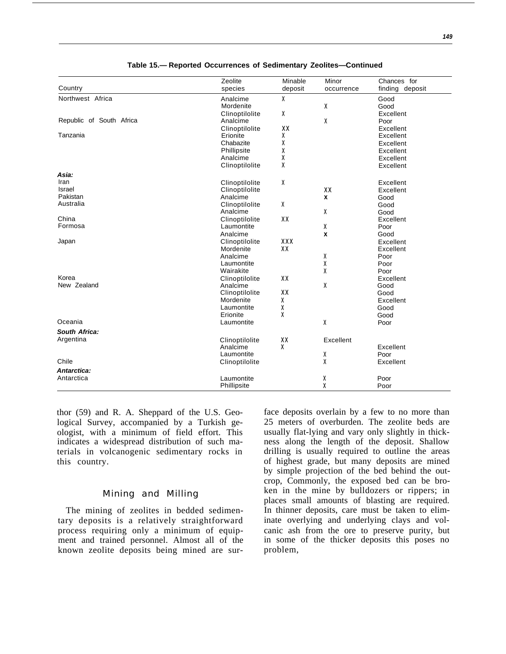|                          | Zeolite        | Minable    | Minor        | Chances for     |
|--------------------------|----------------|------------|--------------|-----------------|
| Country                  | species        | deposit    | occurrence   | finding deposit |
| Northwest Africa         | Analcime       | X          |              | Good            |
|                          | Mordenite      |            | X            | Good            |
|                          | Clinoptilolite | X          |              | Excellent       |
| Republic of South Africa | Analcime       |            | X            | Poor            |
|                          | Clinoptilolite | XX         |              | Excellent       |
| Tanzania                 | Erionite       | X          |              | Excellent       |
|                          | Chabazite      | χ          |              | Excellent       |
|                          | Phillipsite    | X          |              | Excellent       |
|                          | Analcime       | χ          |              | Excellent       |
|                          | Clinoptilolite | X          |              | Excellent       |
|                          |                |            |              |                 |
| Asia:                    |                |            |              |                 |
| Iran                     | Clinoptilolite | X          |              | Excellent       |
| Israel                   | Clinoptilolite |            | XX           | Excellent       |
| Pakistan                 | Analcime       |            | X            | Good            |
| Australia                | Clinoptilolite | X          |              | Good            |
|                          | Analcime       |            | X            | Good            |
| China                    | Clinoptilolite | XX         |              | Excellent       |
| Formosa                  | Laumontite     |            | X            | Poor            |
|                          | Analcime       |            | $\mathbf{x}$ | Good            |
| Japan                    | Clinoptilolite | <b>XXX</b> |              | Excellent       |
|                          | Mordenite      | XX         |              | Excellent       |
|                          | Analcime       |            | χ            | Poor            |
|                          | Laumontite     |            | X            | Poor            |
|                          | Wairakite      |            | X            | Poor            |
| Korea                    | Clinoptilolite | XX         |              | Excellent       |
| New Zealand              | Analcime       |            | X            | Good            |
|                          | Clinoptilolite | XX         |              | Good            |
|                          | Mordenite      | x          |              | Excellent       |
|                          | Laumontite     | X          |              | Good            |
|                          | Erionite       | χ          |              | Good            |
| Oceania                  | Laumontite     |            | χ            | Poor            |
| South Africa:            |                |            |              |                 |
| Argentina                | Clinoptilolite | XX         | Excellent    |                 |
|                          | Analcime       | x          |              | Excellent       |
|                          | Laumontite     |            | X            | Poor            |
| Chile                    | Clinoptilolite |            | X            | Excellent       |
|                          |                |            |              |                 |
| Antarctica:              |                |            |              |                 |
| Antarctica               | Laumontite     |            | χ            | Poor            |
|                          | Phillipsite    |            | X            | Poor            |

#### **Table 15.— Reported Occurrences of Sedimentary Zeolites—Continued**

thor (59) and R. A. Sheppard of the U.S. Geological Survey, accompanied by a Turkish geologist, with a minimum of field effort. This indicates a widespread distribution of such materials in volcanogenic sedimentary rocks in this country.

#### Mining and Milling

The mining of zeolites in bedded sedimentary deposits is a relatively straightforward process requiring only a minimum of equipment and trained personnel. Almost all of the known zeolite deposits being mined are surface deposits overlain by a few to no more than 25 meters of overburden. The zeolite beds are usually flat-lying and vary only slightly in thickness along the length of the deposit. Shallow drilling is usually required to outline the areas of highest grade, but many deposits are mined by simple projection of the bed behind the outcrop, Commonly, the exposed bed can be broken in the mine by bulldozers or rippers; in places small amounts of blasting are required. In thinner deposits, care must be taken to eliminate overlying and underlying clays and volcanic ash from the ore to preserve purity, but in some of the thicker deposits this poses no problem,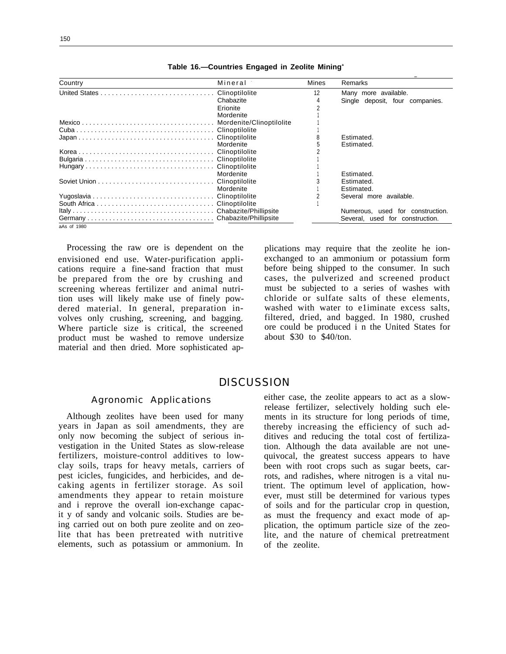| Country     | Mineral   | Mines | Remarks                          |
|-------------|-----------|-------|----------------------------------|
|             |           | 12    | Many more available.             |
|             | Chabazite |       | Single deposit, four companies.  |
|             | Erionite  |       |                                  |
|             | Mordenite |       |                                  |
|             |           |       |                                  |
|             |           |       |                                  |
|             |           |       | Estimated.                       |
|             | Mordenite |       | Estimated.                       |
|             |           |       |                                  |
|             |           |       |                                  |
|             |           |       |                                  |
|             | Mordenite |       | Estimated.                       |
|             |           |       | Estimated.                       |
|             | Mordenite |       | Estimated.                       |
|             |           |       | Several more available.          |
|             |           |       |                                  |
|             |           |       | Numerous, used for construction. |
|             |           |       | Several, used for construction.  |
| aAs of 1980 |           |       |                                  |

Table 16.-Countries Engaged in Zeolite Mining<sup>a</sup>

Processing the raw ore is dependent on the envisioned end use. Water-purification applications require a fine-sand fraction that must be prepared from the ore by crushing and screening whereas fertilizer and animal nutrition uses will likely make use of finely powdered material. In general, preparation involves only crushing, screening, and bagging. Where particle size is critical, the screened product must be washed to remove undersize material and then dried. More sophisticated ap-

plications may require that the zeolite he ionexchanged to an ammonium or potassium form before being shipped to the consumer. In such cases, the pulverized and screened product must be subjected to a series of washes with chloride or sulfate salts of these elements, washed with water to eliminate excess salts, filtered, dried, and bagged. In 1980, crushed ore could be produced i n the United States for about  $$30$  to  $$40/t$ on.

### **DISCUSSION**

#### Agronomic Applications

Although zeolites have been used for many years in Japan as soil amendments, they are only now becoming the subject of serious investigation in the United States as slow-release fertilizers, moisture-control additives to lowclay soils, traps for heavy metals, carriers of pest icicles, fungicides, and herbicides, and decaking agents in fertilizer storage. As soil amendments they appear to retain moisture and i reprove the overall ion-exchange capacit y of sandy and volcanic soils. Studies are being carried out on both pure zeolite and on zeolite that has been pretreated with nutritive elements, such as potassium or ammonium. In

either case, the zeolite appears to act as a slowrelease fertilizer, selectively holding such elements in its structure for long periods of time, thereby increasing the efficiency of such additives and reducing the total cost of fertilization. Although the data available are not unequivocal, the greatest success appears to have been with root crops such as sugar beets, carrots, and radishes, where nitrogen is a vital nutrient. The optimum level of application, however, must still be determined for various types of soils and for the particular crop in question, as must the frequency and exact mode of application, the optimum particle size of the zeolite, and the nature of chemical pretreatment of the zeolite.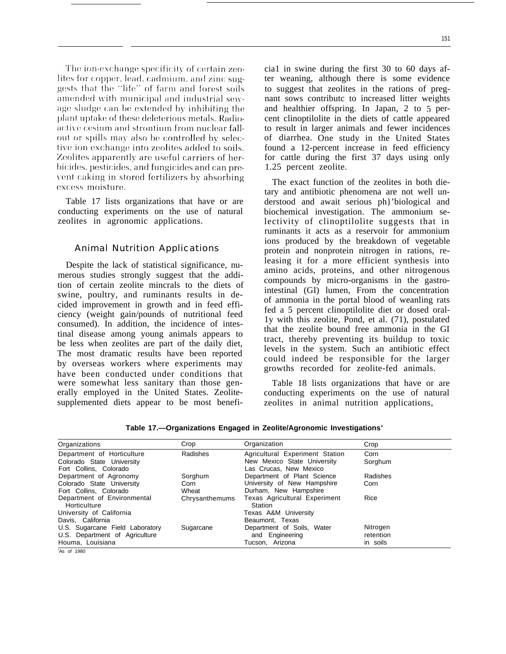The ion-exchange specificity of certain zeolites for copper, lead, cadmium, and zinc suggests that the "life" of farm and forest soils amended with municipal and industrial sewage sludge can be extended by inhibiting the plant uptake of these deleterious metals. Radioactive cesium and strontium from nuclear fallout or spills may also be controlled by selective ion exchange into zeolites added to soils. Zeolites apparently are useful carriers of herbicides, pesticides, and fungicides and can prevent caking in stored fertilizers by absorbing excess moisture.

Table 17 lists organizations that have or are conducting experiments on the use of natural zeolites in agronomic applications.

#### Animal Nutrition Applications

Despite the lack of statistical significance, numerous studies strongly suggest that the addition of certain zeolite mincrals to the diets of swine, poultry, and ruminants results in decided improvement in growth and in feed efficiency (weight gain/pounds of nutritional feed consumed). In addition, the incidence of intestinal disease among young animals appears to be less when zeolites are part of the daily diet, The most dramatic results have been reported by overseas workers where experiments may have been conducted under conditions that were somewhat less sanitary than those generally employed in the United States. Zeolitesupplemented diets appear to be most beneficia1 in swine during the first 30 to 60 days after weaning, although there is some evidence to suggest that zeolites in the rations of pregnant sows contributc to increased litter weights and healthier offspring. In Japan, 2 to 5 percent clinoptilolite in the diets of cattle appeared to result in larger animals and fewer incidences of diarrhea. One study in the United States found a 12-percent increase in feed efficiency for cattle during the first 37 days using only 1.25 percent zeolite.

The exact function of the zeolites in both dietary and antibiotic phenomena are not well understood and await serious ph}'biological and biochemical investigation. The ammonium selectivity of clinoptilolite suggests that in ruminants it acts as a reservoir for ammonium ions produced by the breakdown of vegetable protein and nonprotein nitrogen in rations, releasing it for a more efficient synthesis into amino acids, proteins, and other nitrogenous compounds by micro-organisms in the gastrointestinal (GI) lumen, From the concentration of ammonia in the portal blood of weanling rats fed a 5 percent clinoptilolite diet or dosed oral-1y with this zeolite, Pond, et al. (71), postulated that the zeolite bound free ammonia in the GI tract, thereby preventing its buildup to toxic levels in the system. Such an antibiotic effect could indeed be responsible for the larger growths recorded for zeolite-fed animals.

Table 18 lists organizations that have or are conducting experiments on the use of natural zeolites in animal nutrition applications,

| Organizations                               | Crop           | Organization                             | Crop      |
|---------------------------------------------|----------------|------------------------------------------|-----------|
| Department of Horticulture                  | Radishes       | Agricultural Experiment Station          | Corn      |
| Colorado State University                   |                | New Mexico State University              | Sorghum   |
| Fort Collins. Colorado                      |                | Las Crucas. New Mexico                   |           |
| Department of Agronomy                      | Sorghum        | Department of Plant Science              | Radishes  |
| Colorado State University                   | Corn           | University of New Hampshire              | Corn      |
| Fort Collins, Colorado                      | Wheat          | Durham. New Hampshire                    |           |
| Department of Environmental<br>Horticulture | Chrysanthemums | Texas Agricultural Experiment<br>Station | Rice      |
| University of California                    |                | Texas A&M University                     |           |
| Davis. California                           |                | Beaumont. Texas                          |           |
| U.S. Sugarcane Field Laboratory             | Sugarcane      | Department of Soils, Water               | Nitrogen  |
| U.S. Department of Agriculture              |                | and Engineering                          | retention |
| Houma, Louisiana                            |                | Tucson, Arizona                          | in soils  |

**Table 17.—Organizations Engaged in Zeolite/Agronomic Investigations<sup>a</sup>**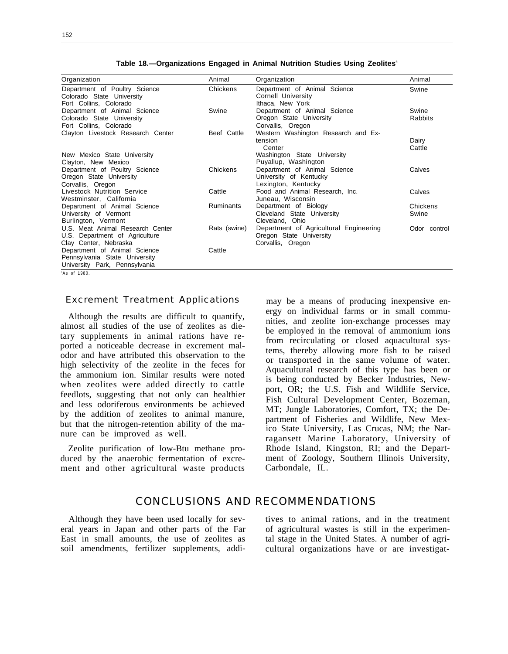| Organization                                               | Animal           | Organization                                       | Animal       |
|------------------------------------------------------------|------------------|----------------------------------------------------|--------------|
| Department of Poultry Science<br>Colorado State University | Chickens         | Department of Animal Science<br>Cornell University | Swine        |
| Fort Collins, Colorado                                     |                  | Ithaca, New York                                   |              |
| Department of Animal Science                               | Swine            | Department of Animal Science                       | Swine        |
| Colorado State University                                  |                  | Oregon State University                            | Rabbits      |
| Fort Collins, Colorado                                     |                  | Corvallis, Oregon                                  |              |
| Clayton Livestock Research Center                          | Beef Cattle      | Western Washington Research and Ex-                |              |
|                                                            |                  | tension                                            | Dairy        |
|                                                            |                  | Center                                             | Cattle       |
| New Mexico State University                                |                  | Washington State University                        |              |
| Clayton, New Mexico                                        |                  | Puyallup, Washington                               |              |
| Department of Poultry Science                              | Chickens         | Department of Animal Science                       | Calves       |
| Oregon State University                                    |                  | University of Kentucky                             |              |
| Corvallis, Oregon                                          |                  | Lexington, Kentucky                                |              |
| Livestock Nutrition Service                                | Cattle           | Food and Animal Research, Inc.                     | Calves       |
| Westminster, California                                    |                  | Juneau, Wisconsin                                  |              |
| Department of Animal Science                               | <b>Ruminants</b> | Department of Biology                              | Chickens     |
| University of Vermont                                      |                  | Cleveland State University                         | Swine        |
| Burlington, Vermont                                        |                  | Cleveland, Ohio                                    |              |
| U.S. Meat Animal Research Center                           | Rats (swine)     | Department of Agricultural Engineering             | Odor control |
| U.S. Department of Agriculture                             |                  | Oregon State University                            |              |
| Clay Center, Nebraska                                      |                  | Corvallis, Oregon                                  |              |
| Department of Animal Science                               | Cattle           |                                                    |              |
| Pennsylvania State University                              |                  |                                                    |              |
| University Park, Pennsylvania                              |                  |                                                    |              |
| $AC$ of 1080                                               |                  |                                                    |              |

Table 18.-Organizations Engaged in Animal Nutrition Studies Using Zeolites<sup>a</sup>

a As of 1980.

#### Excrement Treatment Applications

Although the results are difficult to quantify, almost all studies of the use of zeolites as dietary supplements in animal rations have reported a noticeable decrease in excrement malodor and have attributed this observation to the high selectivity of the zeolite in the feces for the ammonium ion. Similar results were noted when zeolites were added directly to cattle feedlots, suggesting that not only can healthier and less odoriferous environments be achieved by the addition of zeolites to animal manure, but that the nitrogen-retention ability of the manure can be improved as well.

Zeolite purification of low-Btu methane produced by the anaerobic fermentation of excrement and other agricultural waste products may be a means of producing inexpensive energy on individual farms or in small communities, and zeolite ion-exchange processes may be employed in the removal of ammonium ions from recirculating or closed aquacultural systems, thereby allowing more fish to be raised or transported in the same volume of water. Aquacultural research of this type has been or is being conducted by Becker Industries, Newport, OR; the U.S. Fish and Wildlife Service, Fish Cultural Development Center, Bozeman, MT; Jungle Laboratories, Comfort, TX; the Department of Fisheries and Wildlife, New Mexico State University, Las Crucas, NM; the Narragansett Marine Laboratory, University of Rhode Island, Kingston, RI; and the Department of Zoology, Southern Illinois University, Carbondale, IL.

# CONCLUSIONS AND RECOMMENDATIONS

eral years in Japan and other parts of the Far of agricultural wastes is still in the experimen-East in small amounts, the use of zeolites as tal stage in the United States. A number of agrisoil amendments, fertilizer supplements, addi- cultural organizations have or are investigat-

Although they have been used locally for sev- tives to animal rations, and in the treatment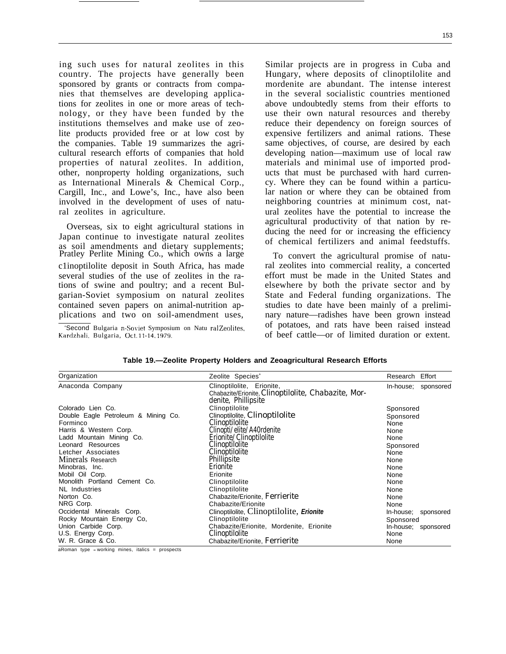153

ing such uses for natural zeolites in this country. The projects have generally been sponsored by grants or contracts from companies that themselves are developing applications for zeolites in one or more areas of technology, or they have been funded by the institutions themselves and make use of zeolite products provided free or at low cost by the companies. Table 19 summarizes the agricultural research efforts of companies that hold properties of natural zeolites. In addition, other, nonproperty holding organizations, such as International Minerals & Chemical Corp., Cargill, Inc., and Lowe's, Inc., have also been involved in the development of uses of natural zeolites in agriculture.

Overseas, six to eight agricultural stations in Japan continue to investigate natural zeolites as soil amendments and dietary supplements; Pratley Perlite Mining Co., which owns a large c1inoptilolite deposit in South Africa, has made several studies of the use of zeolites in the rations of swine and poultry; and a recent Bulgarian-Soviet symposium on natural zeolites contained seven papers on animal-nutrition applications and two on soil-amendment uses,

'Second Bulgaria n-Soviet Symposium on Natu ral Zeolites, Kardzhali, Bulgaria, Oct.11-14, 1979.

Similar projects are in progress in Cuba and Hungary, where deposits of clinoptilolite and mordenite are abundant. The intense interest in the several socialistic countries mentioned above undoubtedly stems from their efforts to use their own natural resources and thereby reduce their dependency on foreign sources of expensive fertilizers and animal rations. These same objectives, of course, are desired by each developing nation—maximum use of local raw materials and minimal use of imported products that must be purchased with hard currency. Where they can be found within a particular nation or where they can be obtained from neighboring countries at minimum cost, natural zeolites have the potential to increase the agricultural productivity of that nation by reducing the need for or increasing the efficiency of chemical fertilizers and animal feedstuffs.

To convert the agricultural promise of natural zeolites into commercial reality, a concerted effort must be made in the United States and elsewhere by both the private sector and by State and Federal funding organizations. The studies to date have been mainly of a preliminary nature—radishes have been grown instead of potatoes, and rats have been raised instead of beef cattle—or of limited duration or extent.

| Organization                        | Zeolite Species <sup>®</sup>                                                                            | Research Effort     |  |
|-------------------------------------|---------------------------------------------------------------------------------------------------------|---------------------|--|
| Anaconda Company                    | Clinoptilolite, Erionite,<br>Chabazite/Erionite, Clinoptilolite, Chabazite, Mor-<br>denite, Phillipsite | In-house; sponsored |  |
| Colorado Lien Co.                   | Clinoptilolite                                                                                          | Sponsored           |  |
| Double Eagle Petroleum & Mining Co. | Clinoptilolite, <i>Clinoptilolite</i>                                                                   | Sponsored           |  |
| Forminco                            | Clinoptilolite                                                                                          | None                |  |
| Harris & Western Corp.              | Clinopti/elite/A40rdenite                                                                               | None                |  |
| Ladd Mountain Mining Co.            | Erionite/Clinoptilolite                                                                                 | None                |  |
| Leonard Resources                   | <i>Clinoptilolite</i>                                                                                   | Sponsored           |  |
| Letcher Associates                  | Clinoptilolite                                                                                          | None                |  |
| Minerals Research                   | Phillipsite                                                                                             | None                |  |
| Minobras, Inc.                      | Erionite                                                                                                | None                |  |
| Mobil Oil Corp.                     | Erionite<br>None                                                                                        |                     |  |
| Monolith Portland Cement Co.        | Clinoptilolite<br>None                                                                                  |                     |  |
| <b>NL</b> Industries                | Clinoptilolite<br>None                                                                                  |                     |  |
| Norton Co.                          | Chabazite/Erionite, Ferrierite                                                                          | None                |  |
| NRG Corp.                           | Chabazite/Erionite                                                                                      | None                |  |
| Occidental Minerals Corp.           | Clinoptilolite, Clinoptilolite, Erionite                                                                | In-house; sponsored |  |
| Rocky Mountain Energy Co,           | Clinoptilolite<br>Sponsored                                                                             |                     |  |
| Union Carbide Corp.                 | Chabazite/Erionite, Mordenite, Erionite                                                                 | In-house; sponsored |  |
| U.S. Energy Corp.                   | Clinoptilolite<br>None                                                                                  |                     |  |
| W. R. Grace & Co.                   | Chabazite/Erionite, Ferrierite<br>None                                                                  |                     |  |

#### **Table 19.—Zeolite Property Holders and Zeoagricultural Research Efforts**

aRoman type <sup>=</sup>working mines, italics = prospects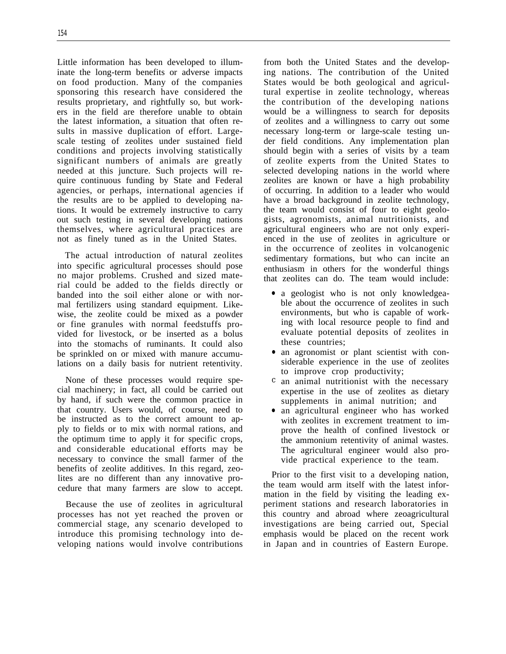Little information has been developed to illuminate the long-term benefits or adverse impacts on food production. Many of the companies sponsoring this research have considered the results proprietary, and rightfully so, but workers in the field are therefore unable to obtain the latest information, a situation that often results in massive duplication of effort. Largescale testing of zeolites under sustained field conditions and projects involving statistically significant numbers of animals are greatly needed at this juncture. Such projects will require continuous funding by State and Federal agencies, or perhaps, international agencies if the results are to be applied to developing nations. It would be extremely instructive to carry out such testing in several developing nations themselves, where agricultural practices are not as finely tuned as in the United States.

The actual introduction of natural zeolites into specific agricultural processes should pose no major problems. Crushed and sized material could be added to the fields directly or banded into the soil either alone or with normal fertilizers using standard equipment. Likewise, the zeolite could be mixed as a powder or fine granules with normal feedstuffs provided for livestock, or be inserted as a bolus into the stomachs of ruminants. It could also be sprinkled on or mixed with manure accumulations on a daily basis for nutrient retentivity.

None of these processes would require special machinery; in fact, all could be carried out by hand, if such were the common practice in that country. Users would, of course, need to be instructed as to the correct amount to apply to fields or to mix with normal rations, and the optimum time to apply it for specific crops, and considerable educational efforts may be necessary to convince the small farmer of the benefits of zeolite additives. In this regard, zeolites are no different than any innovative procedure that many farmers are slow to accept.

Because the use of zeolites in agricultural processes has not yet reached the proven or commercial stage, any scenario developed to introduce this promising technology into developing nations would involve contributions from both the United States and the developing nations. The contribution of the United States would be both geological and agricultural expertise in zeolite technology, whereas the contribution of the developing nations would be a willingness to search for deposits of zeolites and a willingness to carry out some necessary long-term or large-scale testing under field conditions. Any implementation plan should begin with a series of visits by a team of zeolite experts from the United States to selected developing nations in the world where zeolites are known or have a high probability of occurring. In addition to a leader who would have a broad background in zeolite technology, the team would consist of four to eight geologists, agronomists, animal nutritionists, and agricultural engineers who are not only experienced in the use of zeolites in agriculture or in the occurrence of zeolites in volcanogenic sedimentary formations, but who can incite an enthusiasm in others for the wonderful things that zeolites can do. The team would include:

- a geologist who is not only knowledgeable about the occurrence of zeolites in such environments, but who is capable of working with local resource people to find and evaluate potential deposits of zeolites in these countries;
- an agronomist or plant scientist with considerable experience in the use of zeolites to improve crop productivity;
- c an animal nutritionist with the necessary expertise in the use of zeolites as dietary supplements in animal nutrition; and
- an agricultural engineer who has worked with zeolites in excrement treatment to improve the health of confined livestock or the ammonium retentivity of animal wastes. The agricultural engineer would also provide practical experience to the team.

Prior to the first visit to a developing nation, the team would arm itself with the latest information in the field by visiting the leading experiment stations and research laboratories in this country and abroad where zeoagricultural investigations are being carried out, Special emphasis would be placed on the recent work in Japan and in countries of Eastern Europe.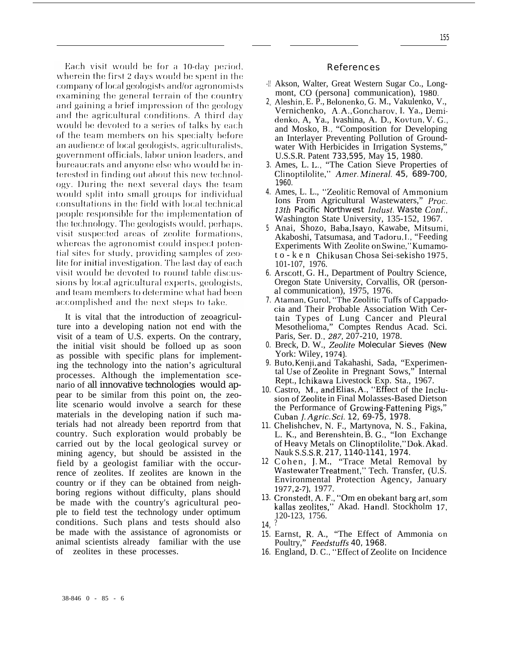Each visit would be for a 10-day period, wherein the first 2 days would be spent in the company of local geologists and/or agronomists examining the general terrain of the country and gaining a brief impression of the geology and the agricultural conditions. A third day would be devoted to a series of talks by each of the team members on his specialty before an audience of local geologists, agriculturalists, government officials, labor union leaders, and bureaucrats and anyone else who would be interested in finding out about this new technology. During the next several days the team would split into small groups for individual consultations in the field with local technical people responsible for the implementation of the technology. The geologists would, perhaps, visit suspected areas of zeolite formations, whereas the agronomist could inspect potential sites for study, providing samples of zeolite for initial investigation. The last day of each visit would be devoted to round table discussions by local agricultural experts, geologists, and team members to determine what had been accomplished and the next steps to take.

It is vital that the introduction of zeoagriculture into a developing nation not end with the visit of a team of U.S. experts. On the contrary, the initial visit should be folloed up as soon as possible with specific plans for implementing the technology into the nation's agricultural processes. Although the implementation scenario of all innovative technologies would appear to be similar from this point on, the zeolite scenario would involve a search for these materials in the developing nation if such materials had not already been reportrd from that country. Such exploration would probably be carried out by the local geological survey or mining agency, but should be assisted in the field by a geologist familiar with the occurrence of zeolites. If zeolites are known in the country or if they can be obtained from neighboring regions without difficulty, plans should be made with the country's agricultural people to field test the technology under optimum conditions. Such plans and tests should also be made with the assistance of agronomists or animal scientists already familiar with the use of zeolites in these processes.

#### References

- -1! Akson, Walter, Great Western Sugar Co., Longmont, CO (persona] communication), *1980,*
- *2<* Aleshin, E. P., Belonenko, G. M., Vakulenko, V., Vernichenko, A, A,, Goncharov, I. Ya., Demidenko, A, Ya., Ivashina, A. D., Kovtun, V. G,, and Mosko, B., "Composition for Developing an Interlayer Preventing Pollution of Groundwater With Herbicides in Irrigation Systems," U.S.S.R. Patent *733,595,* May *15, 1980.*
- *3.* Ames, L. L. "The Cation Sieve Properties of Clinoptilolite," *Amer. Mineral.* 45, 689-700, *1960.*
- *4.* Ames, L. L., "Zeolitic Removal of.Ammonium Ions From Agricultural Wastewaters," *Proc. <i>I3th Pacific Northwest Indust. Waste Conf.,* Washington State University, 135-152, 1967.
- *5* Anai, Shozo, Baba, Isayo, Kawabe, Mitsurni, Akaboshi, Tatsumasa, and Tadoru, I., "Feeding Experiments With Zeolite on Swine," Kumamoto-ken Chikusan Chosa Sei-sekisho 1975, 101-107, 1976.
- *6.* Arscott, G. H., Department of Poultry Science, Oregon State University, Corvallis, OR (personal communication), 1975, 1976.
- 7. Ataman, Gurol, ''The Zeolitic Tuffs of Cappado cia and Their Probable Association With Certain Types of Lung Cancer and Pleural Mesothelioma," Comptes Rendus Acad. Sci. Paris, Ser. D.,287, 207-210, 1978.
- *0.* Breck, D. W., *Zeolite Molecular Sieves (New* York: Wiley, 1974)
- 9. Buto, Kenji, and Takahashi, Sada, "Experimental Use of Zeolite in Pregnant Sows," Internal Rept., Ichikawa Livestock Exp. Sta., 1967.
- 10. Castro, M., and Elias, A., "Effect of the InclusionofZeolite in Final Molasses-Based Dietson the Performance of Grcwing-Fattening Pigs," Cuban~. *Agric. Sci. 12, 69-75, 1978.*
- *11.* Chelishchev, N. F., Martynova, N. S,, Fakina, L. K., and Berenshtein, B. G,, "Ion Exchange of Heavy Metals on Clinoptilolite," Dok. Akad. Nauk S.S.S,R. *217, 1140-1141, 1974.*
- *12* Cohen, J, M. "Trace Metal Removal by Wastewater Treatment," Tech. Transfer, (U.S. Environmental Protection Agency, January 1977, 2-7), 1977.
- 13. Cronstedt, A. F., "Om en obekant barg art, som kallas zeolites," Akad. Handl. Stockholm 17, 120-123, 1756.
- *14,* ?
- *15.* Earnst, R, A., "The Effect of Ammonia on Poultry," Feedstuffs 40, 1968.
- 16. England, D. C., "Effect of Zeolite on Incidence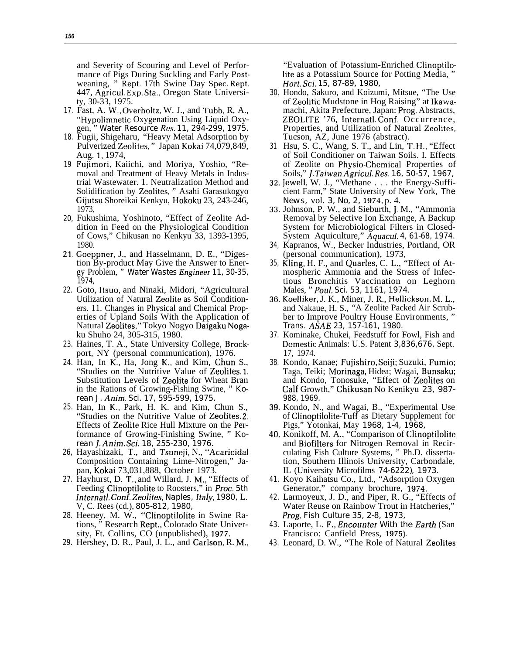and Severity of Scouring and Level of Performance of Pigs During Suckling and Early Postweaning, " Rept. 17th Swine Day Spec. Rept. 447, Agricul. Exp, Sta,, Oregon State University, 30-33, 1975.

- *17.* Fast, A. W,, Overholtz, W. J., and Tubb, R, A., "Hypolimnetic Oxygenation Using Liquid Oxygen, " *Water Resource Res. 11, 294-299, 1975.*
- *18.* Fugii, Shigeharu, "Heavy Metal Adsorption by Pulverized Zeolites, " Japan Kokai 74,079,849, Aug. 1, 1974,
- *19* Fujimori, Kaiichi, and Moriya, Yoshio, "Removal and Treatment of Heavy Metals in Industrial Wastewater. 1. Neutralization Method and Solidification by Zeolites, " Asahi Garasukogyo Gijutsu Shoreikai Kenkyu, Hokoku 23, 243-246, 1973,
- *20,* Fukushima, Yoshinoto, "Effect of Zeolite Addition in Feed on the Physiological Condition of Cows," Chikusan no Kenkyu 33, 1393-1395, 1980.
- *21,* Goeppner, J., and Hasselmann, D. E,, "Digestion By-product May Give the Answer to Energy Problem, " *Water Wastes 12ngineer 11, 30-35, 1974,*
- *22.* Goto, Itsuo, and Ninaki, Midori, "Agricultural Utilization of Natural Zeolite as Soil Conditioners. 11. Changes in Physical and Chemical Properties of Upland Soils With the Application of Natural Zeolites," Tokyo Nogyo Daigaku Nogaku Shuho 24, 305-315, 1980.
- *23.* Haines, T. A., State University College, Brockport, NY (personal communication), 1976.
- *24.* Han, In K,, Ha, Jong K,, and Kim, Chun S., "Studies on the Nutritive Value of Zeolites. 1. Substitution Levels of Zeolite for Wheat Bran in the Rations of Growing-Fishing Swine, " *Korean J. Anim. Sci. 17, 595-599, 1975.*
- *25.* Han, In K,, Park, H. K. and Kim, Chun S., "Studies on the Nutritive Value of Zeolites, 2, Effects of Zeolite Rice Hull Mixture on the Performance of Growing-Finishing Swine, " Ko*rean j. Anim. Sci. 18, 255-230, 1976.*
- *26,* Hayashizaki, T., and Tsuneji, N., "Acaricidal Composition Containing Lime-Nitrogen," Japan, Kokai 73,031,888, October 1973.
- *27.* Hayhurst, D. T,, and Willard, J. M,, "Effects of Feeding Clinoptilolite to Roosters," in *Proc. 5th Internat]. Conf. Zeo]jtes, Naples, Italy, 1980,* L. V, C. Rees (cd,), *805-812, 1980,*
- *28.* Heeney, M. W., "ClinoptiIolite in Swine Rations, " Research Rept,, Colorado State University, Ft. Collins, CO (unpublished), 1977.
- *29.* Hershey, D. R., Paul, J. L., and Carlson, R. M,,

"Evaluation of Potassium-Enriched Clinoptilolite as a Potassium Source for Potting Media, " *Hort. Sci. 15, 87-89, 1980,*

- *30,* Hondo, Sakuro, and Koizumi, Mitsue, "The Use of Zeolitic Mudstone in Hog Raising" at Ikawamachi, Akita Prefecture, Japan: Prog. Abstracts, ZEOLITE '76, Internatl. Conf, Occurrence, Properties, and Utilization of Natural Zeolites, Tucson, AZ, June 1976 (abstract).
- *31* Hsu, S. C., Wang, S. T., and Lin, T, H,, "Effect of Soil Conditioner on Taiwan Soils. I. Effects of Zeolite on Physio-Chemical Properties of Soils," J. *Taiwan Agricu]. Res. 16, 50-57, 1967,*
- *32,* Jewell, W. J., "Methane . . . the Energy-Sufficient Farm," State University of New York, *The News,* vol. *3, No, 2, 1974,* p. 4.
- *33.* Johnson, P. W., and Sieburth, J, M., "Ammonia Removal by Selective Ion Exchange, A Backup System for Microbiological Filters in Closed-System Aquiculture," *Aquacul. 4, 61-68, 1974.*
- *34,* Kapranos, W., Becker Industries, Portland, OR (personal communication), 1973,
- *35,* Kling, H. F., and Quarles, C. L., "Effect of Atmospheric Ammonia and the Stress of Infectious Bronchitis Vaccination on Leghorn Males, " *Poul. Sci. 53, 1161, 1974.*
- *36,* Koelliker, J. K., Miner, J. R., Hellickson, M. L., and Nakaue, H. S., "A Zeolite Packed Air Scrubber to Improve Poultry House Environments, " *Trans. ASA~ 23, 157-161, 1980.*
- *37.* Kominake, Chukei, Feedstuff for Fowl, Fish and Dcmestic Animals: U.S. Patent *3,836,676,* Sept. 17, 1974.
- *38.* Kondo, Kanae; Fujishiro, Seiji; Suzuki, Fumio; Taga, Teiki; Morinaga, Hidea; Wagai, Bunsaku; and Kondo, Tonosuke, "Effect of Zeolites on Calf Growth," Chikusan No Kenikyu *23, 987- 988, 1969.*
- *39.* Kondo, N., and Wagai, B., "Experimental Use of Clinoptilolite-Tuff as Dietary Supplement for Pigs," Yotonkai, May *1968, 1-4, 1968,*
- *40,* Konikoff, M. A., "Comparison of Clinoptilolite and Biofilters for Nitrogen Removal in Recirculating Fish Culture Systems, " Ph.D. dissertation, Southern Illinois University, Carbondale, IL (University Microfilms *74-6222), 1973.*
- *41.* Koyo Kaihatsu Co., Ltd., "Adsorption Oxygen Generator," company brochure, 1974.
- *42.* Larmoyeux, J. D., and Piper, R. G., "Effects of Water Reuse on Rainbow Trout in Hatcheries," *Prog. Fish Culture 35, 2-8, 1973,*
- 43. Laporte, L. F., *Encounter With the Earth* (San Francisco: Canfield Press, 1975).
- *43.* Leonard, D. W., "The Role of Natural Zeolites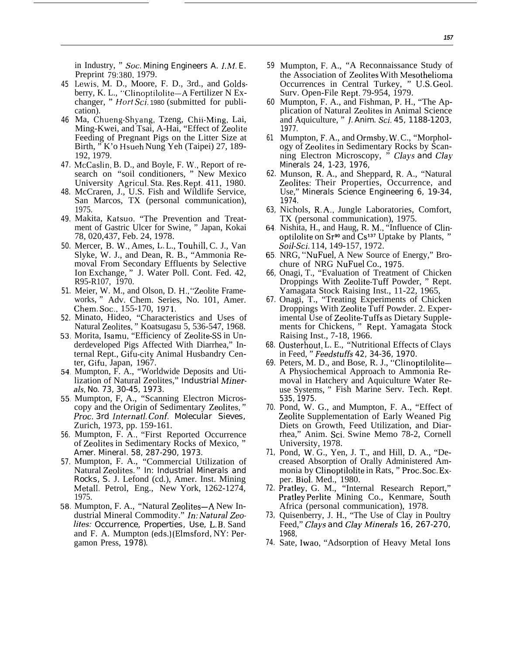in Industry, " Soc. *Mining Engineers A. I,M. E.* Preprint 79:380, 1979.

- *45* Lewis, M. D., Moore, F. D., 3rd., and Goldsberry, K. L., "Clinoptilolite-A Fertilizer N Exchanger, " *Hort Sci.* 1980 (submitted for publication).
- *46* Ma, Chueng-Shyang, Tzeng, Chii-Ming, Lai, Ming-Kwei, and Tsai, A-Hai, "Effect of Zeolite Feeding of Pregnant Pigs on the Litter Size at Birth, " K'o Hsueh Nung Yeh (Taipei) 27, 189- 192, 1979.
- *47.* McCaslin, B. D., and Boyle, F. W,, Report of research on "soil conditioners, " New Mexico University Agricul. Sta. Res. Rept. 411, 1980.
- *48.* McCraren, J., U.S. Fish and Wildlife Service, San Marcos, TX (personal communication), 1975.
- *49.* Makita, Katsuo, "The Prevention and Treatment of Gastric Ulcer for Swine, " Japan, Kokai 78, 020,437, Feb. 24, 1978.
- *50.* Mercer, B. W,, Ames, L, L., Touhill, C. J., Van Slyke, W. J., and Dean, R. B., "Ammonia Removal From Secondary Effluents by Selective Ion Exchange, " J. Water Poll. Cont. Fed. 42, R95-R107, 1970.
- *51.* Meier, W. M., and Olson, D. H,, "Zeolite Frameworks, " Adv. Chem. Series, No. 101, Amer. Chem. Soc., 155-170, 1971.
- *52.* Minato, Hideo, "Characteristics and Uses of Natural Zeolites, " Koatsugasu 5, 536-547, 1968.
- *53* Morita, Isamu, "Efficiency of Zeolite-SS in Underdeveloped Pigs Affected With Diarrhea," Internal Rept., Gifu-city Animal Husbandry Center, Gifu, Japan, 1967.
- *54* Mumpton, F. A., "Worldwide Deposits and Utilization of Natural Zeolites," *Industrial Minerals, No. 73, 30-45, 1973.*
- *55* Mumpton, F, A., "Scanning Electron Microscopy and the Origin of Sedimentary Zeolites, " *Proc. 3rd Internatl. Conf. Molecular Sieves,* Zurich, 1973, pp. 159-161.
- *56.* Mumpton, F. A,, "First Reported Occurrence of Zeolites in Sedimentary Rocks of Mexico, " *Amer. Mineral. 58, 287-290, 1973.*
- *57.* Mumpton, F. A., "Commercial Utilization of Natural Zeolites, " *In: Industrial Minerals and Rocks, S.* J. Lefond (cd.), Amer. Inst. Mining MetaII. Petrol, Eng., New York, 1262-1274, 1975.
- *58.* Mumpton, F. A., "Natural Zeolites—A New Industrial Mineral Commodity." In: Natural Zeo*lites: Occurrence, Properties, Use, L.* B, Sand and F. A. Mumpton (eds.) (Elmsford, NY: Pergamon Press, *1978).*
- *59* Mumpton, F. A., "A Reconnaissance Study of the Association of Zeolites With Mesothelioma Occurrences in Central Turkey, " U.S. Geol. Surv. Open-File Rept, 79-954, 1979.
- *60* Mumpton, F. A., and Fishman, P. H., "The Application of Natural Zeolites in Animal Science and Aquiculture, " J. *Anim. Sci. 45, 1188-1203, 1977.*
- *61* Mumpton, F, A., and Ormsby, W, C., "Morphology of Zeolites in Sedimentary Rocks by Scanning Electron Microscopy, " *clays and Clay Minerals 24, 1-23, 1976,*
- *62.* Munson, R, A., and Sheppard, R, A., "Natural Zeolites: Their Properties, Occurrence, and Use," *Minerals Science Engineering 6, 19-34, 1974.*
- *63,* Nichols, R, A,, Jungle Laboratories, Comfort, TX (personal communication), 1975.
- *64* Nishita, H., and Haug, R. M,, "Influence of Clinoptilolite on  $Sr<sup>90</sup>$  and  $Cs<sup>137</sup>$  Uptake by Plants, " Soil-Sci. 114, 149-157, 1972.
- *65* NRG, "NuFuel, A New Source of Energy," Brochure of NRG NuFuel Co., 1975.
- *66,* Onagi, T., "Evaluation of Treatment of Chicken Droppings With Zeolite-Tuff Powder, " Rept. Yamagata Stock Raising Inst., 11-22, 1965,
- *67.* Onagi, T., "Treating Experiments of Chicken Droppings With Zeolite Tuff Powder. 2. Experimental Use of Zeolite-Tuffs as Dietary Supplements for Chickens, " Rept. Yamagata Stock Raising Inst., 7-18, 1966.
- *68.* Ousterhout, L. E., "Nutritional Effects of Clays in Feed, " *Feedstuffs 42, 34-36, 1970.*
- *69.* Peters, M. D., and Bose, R. J., "Clinoptilolite-A Physiochemical Approach to Ammonia Removal in Hatchery and Aquiculture Water Reuse Systems, " Fish Marine Serv. Tech. Rept, *535, 1975.*
- *70.* Pond, W. G., and Mumpton, F. A., "Effect of Zeolite Supplementation of Early Weaned Pig Diets on Growth, Feed Utilization, and Diarrhea," Anim. Sci. Swine Memo 78-2, Cornell University, 1978.
- *71,* Pond, W, G., Yen, J. T., and Hill, D. A., "Decreased Absorption of Orally Administered Ammonia by Clinoptilolite in Rats, " Proc. Soc, Exper. Biol. Med., 1980.
- *72.* Pratley, G. M., "Internal Research Report," Pratley Perlite Mining Co., Kenmare, South Africa (personal communication), 1978.
- *73,* Quisenberry, J. H., "The Use of Clay in Poultry Feed," Clays and Clay Minerals 16, 267-270, *1968,*
- *74.* Sate, Iwao, "Adsorption of Heavy Metal Ions